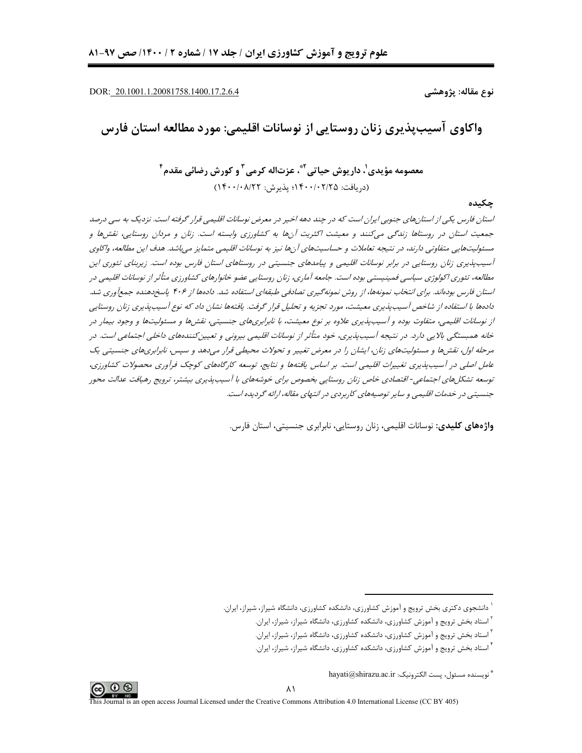DOR: 20.1001.1.20081758.1400.17.2.6.4

نوع مقاله: پژوهشي

واکاوی آسیب پذیری زنان روستایی از نوسانات اقلیمی: مورد مطالعه استان فارس

معصومه مؤيدي'، داريوش حياتي <sup>۴</sup>، عزتاله کرمے آ و کورش رضائے، مقدم <sup>۴</sup> (دريافت: ١۴٠٠/٠٢/٢٥؛ يذيرش: ١۴٠٠/٠٨/٢٢)

حكىدە

استان فارس یکی از استانهای جنوبی ایران است که در چند دهه اخیر در معرض نوسانات اقلیمی قرار گرفته است. نزدیک به سی درصد جمعیت استان در روستاها زندگی میکنند و معیشت اکثریت آنها به کشاورزی وابسته است. زنان و مردان روستایی، نقشها و مسئولیتهایی متفاوتی دارند، در نتیجه تعاملات و حساسیتهای آنها نیز به نوسانات اقلیمی متمایز می باشد. هدف این مطالعه، واکاوی آسیب پذیری زنان روستایی در برابر نوسانات اقلیمی و پیامدهای جنسیتی در روستاهای استان فارس بوده است. زیربنای تئوری این مطالعه، تئوری اکولوژی سیاسی فمینیستی بوده است. جامعه آماری، زنان روستایی عضو خانوارهای کشاورزی متأثر از نوسانات اقلیمی در استان فارس بودهاند. برای انتخاب نمونهها، از روش نمونهگیری تصادفی طبقهای استفاده شد. دادهها از ۴۰۶ پاسخ دهنده جمعآوری شد. دادهها با استفاده از شاخص آسیب پذیری معیشت، مورد تجزیه و تحلیل قرار گرفت. یافتهها نشان داد که نوع آسیب پذیری زنان روستایی از نوسانات اقلیمی، متفاوت بوده و آسیبپذیری علاوه بر نوع معیشت، با نابرابریهای جنسیتی، نقشها و مسئولیتها و وجود بیمار در خانه همېستگې بالايي دارد. در نتيجه آسيب پذيري، خود متأثر از نوسانات اقليمي بيرونې و تعييز كنندههاي داخلي اجتماعي است. در مرحله اول، نقش ها و مسئولیت های زنان، ایشان را در معرض تغییر و تحولات محیطی قرار می دهد و سپس، نابرابری های جنسیتی یک عامل اصلی در آسیبپذیری تغییرات اقلیمی است. بر اساس یافتهها و نتایج، توسعه کارگاههای کوچک فرآوری محصولات کشاورزی، توسعه تشکل های اجتماعی- اقتصادی خاص زنان روستایی بخصوص برای خوشههای با آسیبپذیری بیشتر، ترویج رهیافت عدالت محور جنسیتی در خدمات اقلیمی و سایر توصیههای کاربردی در انتهای مقاله، ارائه گردیده است.

واژههای کلیدی: نوسانات اقلیمی، زنان روستایی، نابرابری جنسیتی، استان فارس.



<sup>ٔ</sup> دانشجوی دکتری بخش ترویج و آموزش کشاورزی، دانشکده کشاورزی، دانشگاه شیراز، شیراز، ایران.

<sup>&</sup>lt;sup>۲</sup> استاد بخش ترویج و آموزش کشاورزی، دانشکده کشاورزی، دانشگاه شیراز، شیراز، ایران.

<sup>`</sup> استاد بخش ترویج و آموزش کشاورزی، دانشکده کشاورزی، دانشگاه شیراز، شیراز، ایران.

<sup>&</sup>lt;sup>۲</sup> استاد بخش ترویج و آموزش کشاورزی، دانشکده کشاورزی، دانشگاه شیراز، شیراز، ایران.

<sup>\*</sup> نويسنده مسئول، پست الكترونيک: hayati@shirazu.ac.ir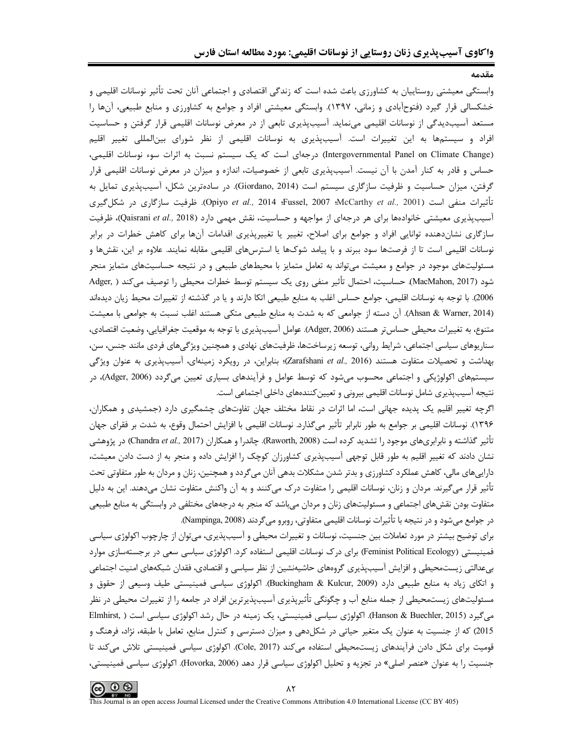وابستگی معیشتی روستاییان به کشاورزی باعث شده است که زندگی اقتصادی و اجتماعی آنان تحت تأثیر نوسانات اقلیمی و خشکسالی قرار گیرد (فتوحآبادی و زمانی، ۱۳۹۷). وابستگی معیشتی افراد و جوامع به کشاورزی و منابع طبیعی، آنها را مستعد آسیبدیدگی از نوسانات اقلیمی مینماید. آسیبپذیری تابعی از در معرض نوسانات اقلیمی قرار گرفتن و حساسیت افراد و سیستمها به این تغییرات است. آسیبپذیری به نوسانات اقلیمی از نظر شورای بینالمللی تغییر اقلیم (Intergovernmental Panel on Climate Change) درجهای است که یک سیستم نسبت به اثرات سوء نوسانات اقلیمی، حساس و قادر به کنار آمدن با آن نیست. آسیبپذیری تابعی از خصوصیات، اندازه و میزان در معرض نوسانات اقلیمی قرار گرفتن، میزان حساسیت و ظرفیت سازگاری سیستم است (Giordano, 2014). در سادهترین شکل، آسیبپذیری تمایل به تأثيرات منفي است (McCarthy *et al.,* 2001؛ Wojiyo *et al.,* 2014؛ Fussel, 2007؛ ظرفيت سازگاري در شكل<sup>5</sup>يري آسیبپذیری معیشتی خانوادهها برای هر درجهای از مواجهه و حساسیت، نقش مهمی دارد (Qaisrani *et al.*, 2018)، ظرفیت سازگاری نشاندهنده توانایی افراد و جوامع برای اصلاح، تغییر یا تغییرپذیری اقدامات آنها برای کاهش خطرات در برابر نوسانات اقلیمی است تا از فرصتها سود ببرند و با پیامد شوکها یا استرسهای اقلیمی مقابله نمایند. علاوه بر این، نقشها و مسئولیتهای موجود در جوامع و معیشت میتواند به تعامل متمایز با محیطهای طبیعی و در نتیجه حساسیتهای متمایز منجر شود (MacMahon, 2017). حساسیت، احتمال تأثیر منفی روی یک سیستم توسط خطرات محیطی را توصیف می کند ( ,Adger 2006). با توجه به نوسانات اقليمي، جوامع حساس اغلب به منابع طبيعي اتكا دارند و يا در گذشته از تغييرات محيط زيان ديدهاند (Ahsan & Warner, 2014). آن دسته از جوامعی که به شدت به منابع طبیعی متکی هستند اغلب نسبت به جوامعی با معیشت متنوع، به تغييرات محيطي حساس تر هستند (Adger, 2006). عوامل آسيبپذيري با توجه به موقعيت جغرافيايي، وضعيت اقتصادي، سناریوهای سیاسی اجتماعی، شرایط روانی، توسعه زیرساختها، ظرفیتهای نهادی و همچنین ویژگیهای فردی مانند جنس، سن، بهداشت و تحصیلات متفاوت هستند (Zarafshani et al., 2016)؛ بنابراین، در رویکرد زمینهای، آسیبپذیری به عنوان ویژگی سیستمهای اکولوژیکی و اجتماعی محسوب می شود که توسط عوامل و فرآیندهای بسیاری تعیین می گردد (Adger, 2006)، در نتيجه آسيبپذيري شامل نوسانات اقليمي بيروني و تعيين كنندههاي داخلي اجتماعي است.

اگرچه تغییر اقلیم یک پدیده جهانی است، اما اثرات در نقاط مختلف جهان تفاوتهای چشمگیری دارد (جمشیدی و همکاران، ۱۳۹۶). نوسانات اقلیمی بر جوامع به طور نابرابر تأثیر میگذارد. نوسانات اقلیمی با افزایش احتمال وقوع، به شدت بر فقرای جهان تأثیر گذاشته و نابرابریهای موجود را تشدید کرده است (Raworth, 2008). چاندرا و همکاران (Chandra *et al.,* 2017) در پژوهشی نشان دادند که تغییر اقلیم به طور قابل توجهی آسیبپذیری کشاورزان کوچک را افزایش داده و منجر به از دست دادن معیشت، داراییهای مالی، کاهش عملکرد کشاورزی و بدتر شدن مشکلات بدهی آنان میگردد و همچنین، زنان و مردان به طور متفاوتی تحت تأثیر قرار می گیرند. مردان و زنان، نوسانات اقلیمی را متفاوت درک می کنند و به آن واکنش متفاوت نشان می دهند. این به دلیل متفاوت بودن نقشهای اجتماعی و مسئولیتهای زنان و مردان می باشد که منجر به درجههای مختلفی در وابستگی به منابع طبیعی در جوامع میشود و در نتیجه با تأثیرات نوسانات اقلیمی متفاوتی، روبرو میگردند (Nampinga, 2008).

برای توضیح بیشتر در مورد تعاملات بین جنسیت، نوسانات و تغییرات محیطی و آسیبپذیری، میتوان از چارچوب اکولوژی سیاسی فمینیستی (Feminist Political Ecology) برای درک نوسانات اقلیمی استفاده کرد. اکولوژی سیاسی سعی در برجستهسازی موارد بیعدالتی زیستمحیطی و افزایش آسیبپذیری گروههای حاشیهنشین از نظر سیاسی و اقتصادی، فقدان شبکههای امنیت اجتماعی و اتکای زیاد به منابع طبیعی دارد (Buckingham & Kulcur, 2009). اکولوژی سیاسی فمینیستی طیف وسیعی از حقوق و مسئولیتهای زیستمحیطی از جمله منابع آب و چگونگی تأثیریذیری آسیبیذیرترین افراد در جامعه را از تغییرات محیطی در نظر میگیرد (Hanson & Buechler, 2015). اکولوژی سیاسی فمینیستی، یک زمینه در حال رشد اکولوژی سیاسی است ( ,Elmhirst 2015) که از جنسیت به عنوان یک متغیر حیاتی در شکلدهی و میزان دسترسی و کنترل منابع، تعامل با طبقه، نژاد، فرهنگ و قومیت برای شکل دادن فرآیندهای زیستمحیطی استفاده میکند (Cole, 2017). اکولوژی سیاسی فمینیستی تلاش میکند تا جنسیت را به عنوان «عنصر اصلی» در تجزیه و تحلیل اکولوژی سیاسی قرار دهد (Hovorka, 2006). اکولوژی سیاسی فمینیستی،

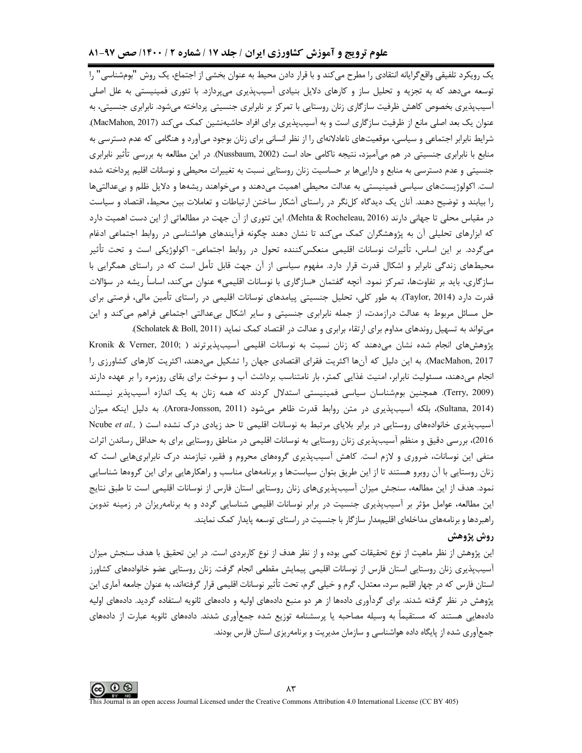# **علوم ترویج و آموزش کشاورزی ایران / جلد ۱۷ / شماره ۲ / ۱۴۰۰/ صص ۹۷-۸۱**

یک رویکرد تلفیقی واقع گرایانه انتقادی را مطرح میکند و با قرار دادن محیط به عنوان بخشی از اجتماع، یک روش "بومشناسی" را توسعه میدهد که به تجزیه و تحلیل ساز و کارهای دلایل بنیادی آسیبپذیری میپردازد. با تئوری فمینیستی به علل اصلی آسیبپذیری بخصوص کاهش ظرفیت سازگاری زنان روستایی با تمرکز بر نابرابری جنسیتی پرداخته میشود. نابرابری جنسیتی، به عنوان یک بعد اصلی مانع از ظرفیت سازگاری است و به آسیبپذیری برای افراد حاشیهنشین کمک میکند (MacMahon, 2017). شرایط نابرابر اجتماعی و سیاسی، موقعیتهای ناعادلانهای را از نظر انسانی برای زنان بوجود میآورد و هنگامی که عدم دسترسی به منابع با نابرابری جنسیتی در هم میآمیزد، نتیجه ناکامی حاد است (Nussbaum, 2002). در این مطالعه به بررسی تأثیر نابرابری جنسیتی و عدم دسترسی به منابع و داراییها بر حساسیت زنان روستایی نسبت به تغییرات محیطی و نوسانات اقلیم پرداخته شده است. اکولوژیستهای سیاسی فمینیستی به عدالت محیطی اهمیت میدهند و میخواهند ریشهها و دلایل ظلم و بیءدالتیها را بیابند و توضیح دهند. آنان یک دیدگاه کلنگر در راستای آشکار ساختن ارتباطات و تعاملات بین محیط، اقتصاد و سیاست در مقیاس محلی تا جهانی دارند (Mehta & Rocheleau, 2016). این تئوری از آن جهت در مطالعاتی از این دست اهمیت دارد که ابزارهای تحلیلی آن به پژوهشگران کمک میکند تا نشان دهند چگونه فرآیندهای هواشناسی در روابط اجتماعی ادغام میگردد. بر این اساس، تأثیرات نوسانات اقلیمی منعکس2ننده تحول در روابط اجتماعی- اکولوژیکی است و تحت تأثیر محیطهای زندگی نابرابر و اشکال قدرت قرار دارد. مفهوم سیاسی از آن جهت قابل تأمل است که در راستای همگرایی با سازگاری، باید بر تفاوتها، تمرکز نمود. آنچه گفتمان «سازگاری با نوسانات اقلیمی» عنوان میکند، اساساً ریشه در سؤالات قدرت دارد (Taylor, 2014). به طور كلي، تحليل جنسيتي پيامدهاي نوسانات اقليمي در راستاي تأمين مالي، فرصتي براي حل مسائل مربوط به عدالت درازمدت، از جمله نابرابری جنسیتی و سایر اشکال بیعدالتی اجتماعی فراهم میکند و این میتواند به تسهیل روندهای مداوم برای ارتقاء برابری و عدالت در اقتصاد کمک نماید (Scholatek & Boll, 2011).

پژوهشهای انجام شده نشان میدهند که زنان نسبت به نوسانات اقلیمی آسیبپذیرترند ( Kronik & Verner, 2010; MacMahon, 2017). به این دلیل که آنها اکثریت فقرای اقتصادی جهان را تشکیل میدهند، اکثریت کارهای کشاورزی را انجام میدهند، مسئولیت نابرابر، امنیت غذایی کمتر، بار نامتناسب برداشت آب و سوخت برای بقای روزمره را بر عهده دارند (Terry, 2009). همچنین بومشناسان سیاسی فمینیستی استدلال کردند که همه زنان به یک اندازه آسیبپذیر نیستند (Sultana, 2014)، بلكه آسيبپذيري در متن روابط قدرت ظاهر ميشود (Arora-Jonsson, 2011). به دليل اينكه ميزان آسیبپذیری خانوادههای روستایی در برابر بلایای مرتبط به نوسانات اقلیمی تا حد زیادی درک نشده است ( ,Ncube *et al* 2016)، بررسی دقیق و منظم آسیبپذیری زنان روستایی به نوسانات اقلیمی در مناطق روستایی برای به حداقل رساندن اثرات منفی این نوسانات، ضروری و لازم است. کاهش آسیبپذیری گروههای محروم و فقیر، نیازمند درک نابرابریهایی است که زنان روستایی با آن روبرو هستند تا از این طریق بتوان سیاستها و برنامههای مناسب و راهکارهایی برای این گروهها شناسایی نمود. هدف از این مطالعه، سنجش میزان آسیبپذیریهای زنان روستایی استان فارس از نوسانات اقلیمی است تا طبق نتایج این مطالعه، عوامل مؤثر بر آسیبپذیری جنسیت در برابر نوسانات اقلیمی شناسایی گردد و به برنامهریزان در زمینه تدوین راهبردها و برنامههای مداخلهای اقلیممدار سازگار با جنسیت در راستای توسعه پایدار کمک نمایند.

# **روش پژوهش**

این پژوهش از نظر ماهیت از نوع تحقیقات کمی بوده و از نظر هدف از نوع کاربردی است. در این تحقیق با هدف سنجش میزان آسیبپذیری زنان روستایی استان فارس از نوسانات اقلیمی پیمایش مقطعی انجام گرفت. زنان روستایی عضو خانوادههای کشاورز استان فارس که در چهار اقلیم سرد، معتدل، گرم و خیلی گرم، تحت تأثیر نوسانات اقلیمی قرار گرفتهاند، به عنوان جامعه آماری این پژوهش در نظر گرفته شدند. برای گردآوری دادهها از هر دو منبع دادههای اولیه و دادههای ثانویه استفاده گردید. دادههای اولیه دادههایی هستند که مستقیماً به وسیله مصاحبه یا پرسشنامه توزیع شده جمعآوری شدند. دادههای ثانویه عبارت از دادههای جمعآوری شده از پایگاه داده هواشناسی و سازمان مدیریت و برنامهریزی استان فارس بودند.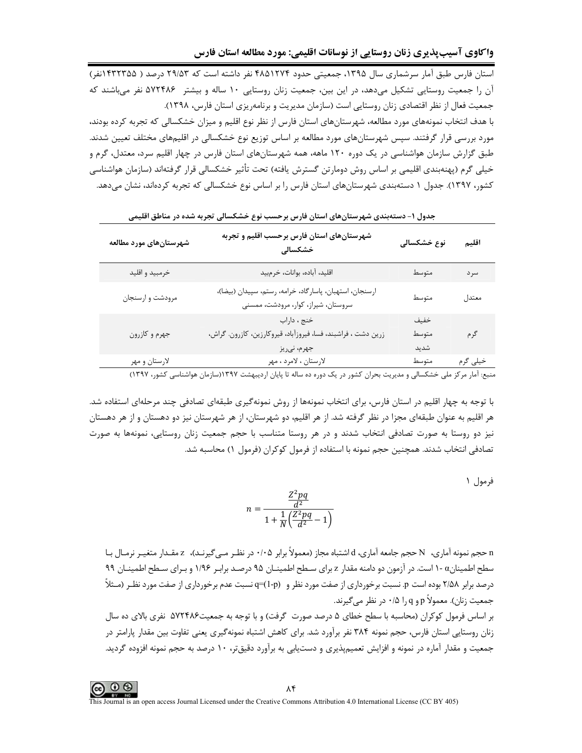استان فارس طبق آمار سرشماری سال ۱۳۹۵، جمعیتی حدود ۴۸۵۱۲۷۴ نفر داشته است که ۲۹/۵۳ درصد ( ۱۴۳۲۳۵۵نفر) آن را جمعیت روستایی تشکیل میدهد، در این بین، جمعیت زنان روستایی ۱۰ ساله و بیشتر ۵۷۲۴۸۶ نفر میباشند که جمعیت فعال از نظر اقتصادی زنان روستایی است (سازمان مدیریت و برنامهریزی استان فارس، ۱۳۹۸). با هدف انتخاب نمونههای مورد مطالعه، شهرستانهای استان فارس از نظر نوع اقلیم و میزان خشکسالی که تجربه کرده بودند، مورد بررسی قرار گرفتند. سپس شهرستانهای مورد مطالعه بر اساس توزیع نوع خشکسالی در اقلیمهای مختلف تعیین شدند. طبق گزارش سازمان هواشناسی در یک دوره ۱۲۰ ماهه، همه شهرستانهای استان فارس در چهار اقلیم سرد، معتدل، گرم و خیلی گرم (پهنهبندی اقلیمی بر اساس روش دومارتن گسترش یافته) تحت تأثیر خشکسالی قرار گرفتهاند (سازمان هواشناسی کشور، ۱۳۹۷). جدول ۱ دستهبندی شهرستانهای استان فارس را بر اساس نوع خشکسالی که تجربه کردهاند، نشان میدهد.

| شهرستانهای مورد مطالعه | شهرستانهای استان فارس برحسب اقلیم و تجربه<br>خشکسالی                                                 | نوع خشکسالی           | اقليم    |
|------------------------|------------------------------------------------------------------------------------------------------|-----------------------|----------|
| خرمبيد و اقليد         | اقليد، آباده، بوانات، خرم،يد                                                                         | متوسط                 | سر د     |
| مرودشت و ارسنجان       | ارسنجان، استهبان، پاسارگاد، خرامه، رستم، سپیدان (بیضا)،<br>سروستان، شیراز، کوار، مرودشت، ممسنی       | متوسط                 | معتدل    |
| جهرم و كازرون          | خنج ، داراب<br>زرين دشت ، فراشبند، فسا، فيروزآباد، قيروكارزين، كازرون. گراش،<br>جهرم، نيريز          | خفيف<br>متوسط<br>شديد | گرم      |
| لارستان و مهر          | لارستان ، لامرد ، مهر<br>یں سیے ان کو یہ کہ یہ پری البرسل الحیدہ سے ۱۳۹۷ ہے اور اس ایک افراد کو ۱۳۹۷ | متوسط                 | خیلی گرم |

جدول ۱– دستهبندی شهرستانهای استان فارس برحسب نوع خشکسالی تجربه شده در مناطق اقلیمی

منبع: آمار مرکز ملی خشکسالی و مدیریت بحران کشور در یک دوره ده ساله تا پایان اردیبهشت ۱۳۹۷(سازمان هواشناسی کشور، ۱۳۹۷)

با توجه به چهار اقلیم در استان فارس، برای انتخاب نمونهها از روش نمونهگیری طبقهای تصادفی چند مرحلهای استفاده شد. هر اقلیم به عنوان طبقهای مجزا در نظر گرفته شد. از هر اقلیم، دو شهرستان، از هر شهرستان نیز دو دهستان و از هر دهستان نیز دو روستا به صورت تصادفی انتخاب شدند و در هر روستا متناسب با حجم جمعیت زنان روستایی، نمونهها به صورت تصادفی انتخاب شدند. همچنین حجم نمونه با استفاده از فرمول کوکران (فرمول ۱) محاسبه شد.

فرمول ۱

$$
n = \frac{\frac{Z^2pq}{d^2}}{1 + \frac{1}{N} \left(\frac{Z^2pq}{d^2} - 1\right)}
$$

n حجم نمونه آماري، N حجم جامعه آماري، d اشتباه مجاز (معمولاً برابر ۰/۰۵ در نظـر مـي5يرنـد)، z مقـدار متغيـر نرمـال بـا سطح اطمینانα -۱ است. در آزمون دو دامنه مقدار z برای سـطح اطمینـان ۹۵ درصـد برابـر ۱/۹۶ و بـرای سـطح اطمینـان ۹۹ درصد برابر ۲/۵۸ بوده است p. نسبت برخورداری از صفت مورد نظر و (q-(1-p) نسبت عدم برخورداری از صفت مورد نظـر (مـثلأ جمعیت زنان). معمولاً p و q را ۰/۵ در نظر میگیرند.

بر اساس فرمول کوکران (محاسبه با سطح خطای ۵ درصد صورت گرفت) و با توجه به جمعیت۵۷۲۴۸۶ نفری بالای ده سال زنان روستایی استان فارس، حجم نمونه ۳۸۴ نفر برآورد شد. برای کاهش اشتباه نمونهگیری یعنی تفاوت بین مقدار پارامتر در جمعیت و مقدار آماره در نمونه و افزایش تعمیمپذیری و دستیابی به برآورد دقیقتر، ۱۰ درصد به حجم نمونه افزوده گردید.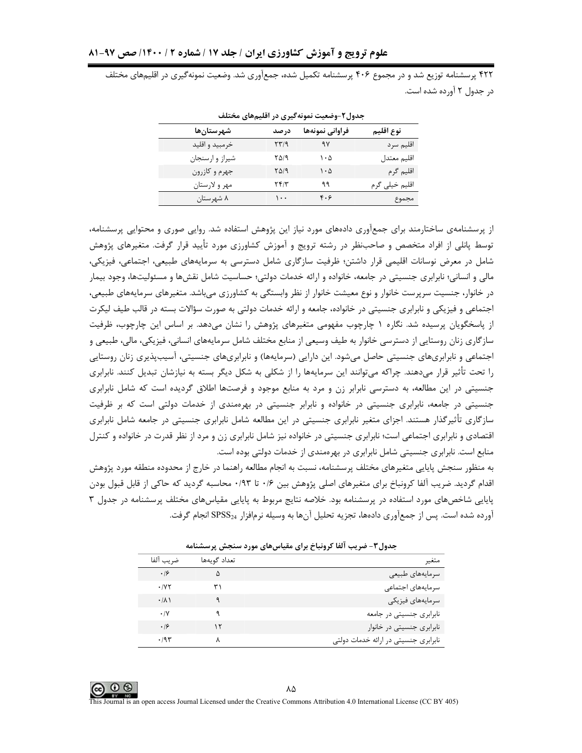۴۲۲ پرسشنامه توزیع شد و در مجموع ۴۰۶ پرسشنامه تکمیل شده، جمعآوری شد. وضعیت نمونهگیری در اقلیمهای مختلف در جدول ۲ آورده شده است.

| شهرستانها      | در صد                                | فراواني نمونهها | نوع اقليم      |
|----------------|--------------------------------------|-----------------|----------------|
| خرمبيد و اقليد | ۲۳/۹                                 | ۹۷              | اقليم سرد      |
| شيراز وارسنجان | ۲۵/۹                                 | ۱۰۵             | اقليم معتدل    |
| جهرم و كازرون  | $Y\Delta$ /9                         | ۱۰۵             | اقليم گرم      |
| مهر و لارستان  | $\mathbf{Y} \mathbf{Y} / \mathbf{Y}$ | ۹۹              | اقلیم خیلی گرم |
| ۸ شهرستان      | $\cdots$                             | ۴۰۶             | مجموع          |

جدول۲-وضعیت نمونهگیری در اقلیمهای مختلف

از پرسشنامهی ساختارمند برای جمعآوری دادههای مورد نیاز این پژوهش استفاده شد. روایی صوری و محتوایی پرسشنامه، توسط پانلی از افراد متخصص و صاحبنظر در رشته ترویج و آموزش کشاورزی مورد تأیید قرار گرفت. متغیرهای پژوهش شامل در معرض نوسانات اقلیمی قرار داشتن؛ ظرفیت سازگاری شامل دسترسی به سرمایههای طبیعی، اجتماعی، فیزیکی، مالی و انسانی؛ نابرابری جنسیتی در جامعه، خانواده و ارائه خدمات دولتی؛ حساسیت شامل نقشها و مسئولیتها، وجود بیمار در خانوار، جنسیت سرپرست خانوار و نوع معیشت خانوار از نظر وابستگی به کشاورزی می باشد. متغیرهای سرمایههای طبیعی، اجتماعی و فیزیکی و نابرابری جنسیتی در خانواده، جامعه و ارائه خدمات دولتی به صورت سؤالات بسته در قالب طیف لیکرت از پاسخگویان پرسیده شد. نگاره ۱ چارچوب مفهومی متغیرهای پژوهش را نشان میدهد. بر اساس این چارچوب، ظرفیت سازگاری زنان روستایی از دسترسی خانوار به طیف وسیعی از منابع مختلف شامل سرمایههای انسانی، فیزیکی، مالی، طبیعی و اجتماعی و نابرابریهای جنسیتی حاصل میشود. این دارایی (سرمایهها) و نابرابریهای جنسیتی، آسیبپذیری زنان روستایی را تحت تأثیر قرار میدهند. چراکه میتوانند این سرمایهها را از شکلی به شکل دیگر بسته به نیازشان تبدیل کنند. نابرابری جنسیتی در این مطالعه، به دسترسی نابرابر زن و مرد به منابع موجود و فرصتها اطلاق گردیده است که شامل نابرابری جنسیتی در جامعه، نابرابری جنسیتی در خانواده و نابرابر جنسیتی در بهرهمندی از خدمات دولتی است که بر ظرفیت سازگاری تأثیرگذار هستند. اجزای متغیر نابرابری جنسیتی در این مطالعه شامل نابرابری جنسیتی در جامعه شامل نابرابری اقتصادی و نابرابری اجتماعی است؛ نابرابری جنسیتی در خانواده نیز شامل نابرابری زن و مرد از نظر قدرت در خانواده و كنترل منابع است. نابرابری جنسیتی شامل نابرابری در بهرهمندی از خدمات دولتی بوده است.

به منظور سنجش پایایی متغیرهای مختلف پرسشنامه، نسبت به انجام مطالعه راهنما در خارج از محدوده منطقه مورد پژوهش اقدام گردید. ضریب آلفا کرونباخ برای متغیرهای اصلی پژوهش بین ۰/۶ تا ۰/۳ محاسبه گردید که حاکی از قابل قبول بودن پایایی شاخصهای مورد استفاده در پرسشنامه بود. خلاصه نتایج مربوط به پایایی مقیاسهای مختلف پرسشنامه در جدول ۳ آورده شده است. پس از جمعآوری دادهها، تجزیه تحلیل آنها به وسیله نرمافزار  $\text{SPSS}_{24}$  انجام گرفت.

|                    | جناوں ، – صریب ،تف ترونبات برای سیاس مای مورد ستجس پرسستانیہ |                                      |  |  |  |  |
|--------------------|--------------------------------------------------------------|--------------------------------------|--|--|--|--|
| ضريب ألفا          | تعداد گويەھا                                                 | متغير                                |  |  |  |  |
| .19                | Δ                                                            | سرمايههاي طبيعي                      |  |  |  |  |
| .1YY               |                                                              | سرمايههاى اجتماعى                    |  |  |  |  |
| $\cdot$ / $\wedge$ |                                                              | سرمايەهاي فيزيكى                     |  |  |  |  |
| $\cdot$ /Y         |                                                              | نابرابری جنسیتی در جامعه             |  |  |  |  |
| .19                |                                                              | نابرابری جنسیتی در خانوار            |  |  |  |  |
| .795               |                                                              | نابرابری جنسیتی در ارائه خدمات دولتی |  |  |  |  |

حدول ۳-ضربب آلفا کرونیاخ برای مقیاس های مورد سنجش بریسشنامه

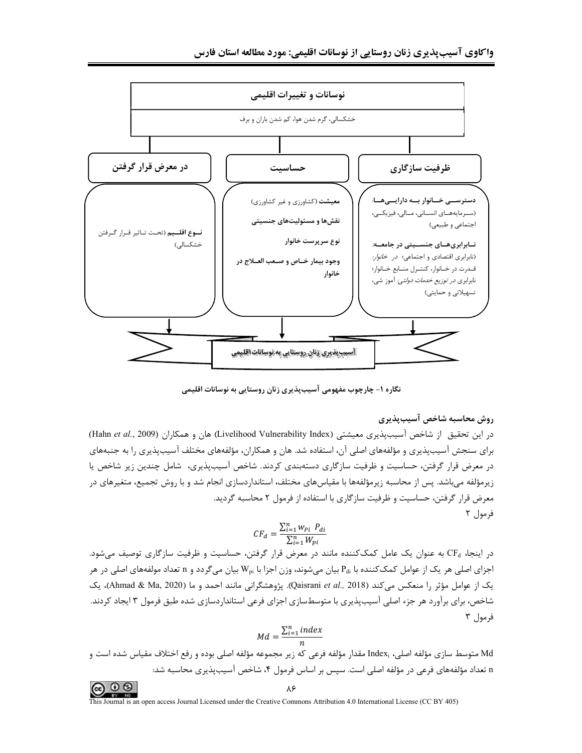

نگاره ۱- چارچوب مفهومی آسیبپذیری زنان روستایی به نوسانات اقلیمی

# روش محاسبه شاخص آسيبپذيري

در این تحقیق از شاخص آسیبپذیری معیشتی (Livelihood Vulnerability Index) هان و همکاران (Hahn et al., 2009) برای سنجش آسیبپذیری و مؤلفههای اصلی آن، استفاده شد. هان و همکاران، مؤلفههای مختلف آسیبپذیری را به جنبههای در معرض قرار گرفتن، حساسیت و ظرفیت سازگاری دستهبندی کردند. شاخص آسیب پذیری، شامل چندین زیر شاخص یا زیرمؤلفه میباشد. پس از محاسبه زیرمؤلفهها با مقیاسهای مختلف، استانداردسازی انجام شد و با روش تجمیع، متغیرهای در معرض قرار گرفتن، حساسیت و ظرفیت سازگاری با استفاده از فرمول ۲ محاسبه گردید. فرمول ٢

$$
CF_d = \frac{\sum_{i=1}^{n} w_{Pi} P_{di}}{\sum_{i=1}^{n} W_{pi}}
$$

در اینجا، CF<sub>d</sub> به عنوان یک عامل کمککننده مانند در معرض قرار گرفتن، حساسیت و ظرفیت سازگاری توصیف می شود. اجزای اصلی هر یک از عوامل کمککننده با P<sub>di</sub> بیان میشوند، وزن اجزا با W<sub>pi</sub> بیان میگردد و n تعداد مولفههای اصلی در هر يک از عوامل مؤثر را منعكس مي كند (Qaisrani et al., 2018). پژوهشگراني مانند احمد و ما (Ahmad & Ma, 2020)، يک شاخص، برای برآورد هر جزء اصلی آسیبپذیری با متوسطسازی اجزای فرعی استانداردسازی شده طبق فرمول ۳ ایجاد کردند. فرمول ۳

$$
Md = \frac{\sum_{i=1}^{n} index}{n}
$$

Md متوسط سازی مؤلفه اصلی، ¡Index مقدار مؤلفه فرعی که زیر مجموعه مؤلفه اصلی بوده و رفع اختلاف مقیاس شده است و n تعداد مؤلفههای فرعی در مؤلفه اصلی است. سپس بر اساس فرمول ۴، شاخص آسیبپذیری محاسبه شد:

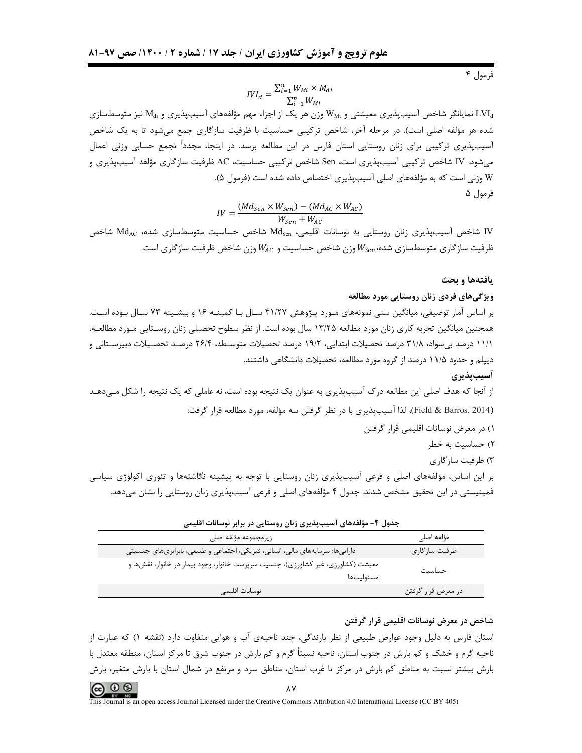$$
IVI_d = \frac{\sum_{i=1}^{n} W_{Mi} \times M_{di}}{\sum_{i=1}^{n} W_{Mi}}
$$

نمایانگر شاخص آسیبپذیری معیشتی و  $\rm{W_{Mi}}$  وزن هر یک از اجزاء مهم مؤلفههای آسیبپذیری و M<sub>di</sub> نیز متوسطسازی  $\rm{LVI_{d}}$ شده هر مؤلفه اصلی است). در مرحله آخر، شاخص ترکیبی حساسیت با ظرفیت سازگاری جمع می شود تا به یک شاخص آسیبپذیری ترکیبی برای زنان روستایی استان فارس در این مطالعه برسد. در اینجا، مجدداً تجمع حسابی وزنی اعمال میشود. IV شاخص ترکیبی آسیبپذیری است، Sen شاخص ترکیبی حساسیت، AC ظرفیت سازگاری مؤلفه آسیبپذیری و W وزنی است که به مؤلفههای اصلی آسیبپذیری اختصاص داده شده است (فرمول ۵). فرمول ۵

$$
IV = \frac{(Md_{Sen} \times W_{Sen}) - (Md_{AC} \times W_{AC})}{W_{Sen} + W_{AC}}
$$

IV شاخص آسیبپذیری زنان روستایی به نوسانات اقلیمی، Md<sub>sen</sub> شاخص حساسیت متوسطسازی شده، Md<sub>AC</sub> شاخص ظرفیت سازگاری متوسطسازی شده، $W_{Sen}$ وزن شاخص حساسیت و  $W_{AC}$ وزن شاخص ظرفیت سازگاری است.

#### يافتهها و بحث

#### ویژگیهای فردی زنان روستایی مورد مطالعه

بر اساس آمار توصیفی، میانگین سنی نمونههای مـورد پـژوهش ۴۱/۲۷ سـال بـا کمینـه ۱۶ و بیشـینه ۷۳ سـال بـوده اسـت. همچنین میانگین تجربه کاری زنان مورد مطالعه ۱۳/۲۵ سال بوده است. از نظر سطوح تحصیلی زنان روسـتایی مـورد مطالعـه، ۱۱/۱ درصد بی سواد، ۳۱/۸ درصد تحصیلات ابتدایی، ۱۹/۲ درصد تحصیلات متوسـطه، ۲۶/۴ درصـد تحصـیلات دبیرسـتانی و دیپلم و حدود ۱۱/۵ درصد از گروه مورد مطالعه، تحصیلات دانشگاهی داشتند.

از آنجا که هدف اصلی این مطالعه درک آسیبیذیری به عنوان یک نتیجه بوده است، نه عاملی که یک نتیجه را شکل مـیدهـد (Field & Barros, 2014)، لذا آسیبپذیری با در نظر گرفتن سه مؤلفه، مورد مطالعه قرار گرفت:

۲) حساسیت به خطر

۳) ظرفیت سازگاری

بر این اساس، مؤلفههای اصلی و فرعی آسیبپذیری زنان روستایی با توجه به پیشینه نگاشتهها و تئوری اکولوژی سیاسی فمینیستی در این تحقیق مشخص شدند. جدول ۴ مؤلفههای اصلی و فرعی آسیبپذیری زنان روستایی را نشان میدهد.

| _________________                                                                             |                    |
|-----------------------------------------------------------------------------------------------|--------------------|
| زيرمجموعه مؤلفه اصلى                                                                          | مؤلفه اصلى         |
| داراییها: سرمایههای مالی، انسانی، فیزیکی، اجتماعی و طبیعی، نابرابریهای جنسیتی                 | ظرفيت سازگاري      |
| معیشت (کشاورزی، غیر کشاورزی)، جنسیت سرپرست خانوار، وجود بیمار در خانوار، نقشها و<br>مسئوليتها | حساسيت             |
| نوسانات اقليمى                                                                                | در معرض قرار گرفتن |

جدول ۴- مؤلفههای آسیبیذیری زنان روستایی در برابر نوسانات اقلیمی

#### شاخص در معرض نوسانات اقلیمی قرار گرفتن

استان فارس به دلیل وجود عوارض طبیعی از نظر بارندگی، چند ناحیهی آب و هوایی متفاوت دارد (نقشه ۱) که عبارت از ناحیه گرم و خشک و کم بارش در جنوب استان، ناحیه نسبتاً گرم و کم بارش در جنوب شرق تا مرکز استان، منطقه معتدل با بارش بیشتر نسبت به مناطق کم بارش در مرکز تا غرب استان، مناطق سرد و مرتفع در شمال استان با بارش متغیر، بارش

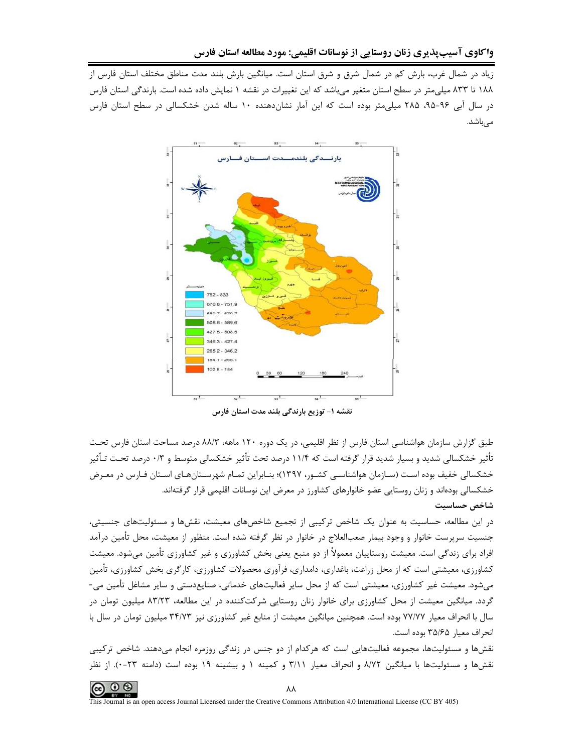زیاد در شمال غرب، بارش کم در شمال شرق و شرق استان است. میانگین بارش بلند مدت مناطق مختلف استان فارس از ۱۸۸ تا ۸۳۳ میلی متر در سطح استان متغیر می باشد که این تغییرات در نقشه ۱ نمایش داده شده است. بارندگی استان فارس در سال آبی ۹۶-۹۵، ۲۸۵ میلی متر بوده است که این آمار نشاندهنده ۱۰ ساله شدن خشکسالی در سطح استان فارس مے باشد.



نقشه ۱– توزیع بارندگی بلند مدت استان فارس

طبق گزارش سازمان هواشناسی استان فارس از نظر اقلیمی، در یک دوره ۱۲۰ ماهه، ۸۸/۳ درصد مساحت استان فارس تحت تأثیر خشکسالی شدید و بسیار شدید قرار گرفته است که ۱۱/۴ درصد تحت تأثیر خشکسالی متوسط و ۰/۳ درصد تحـت تـأثیر خشکسالی خفیف بوده است (سـازمان هواشناسـی کشـور، ۱۳۹۷)؛ بنـابراین تمـام شهرسـتانِهـای اسـتان فـارس در معـرض خشکسالی بودهاند و زنان روستایی عضو خانوارهای کشاورز در معرض این نوسانات اقلیمی قرار گرفتهاند. شاخص حساسيت

در این مطالعه، حساسیت به عنوان یک شاخص ترکیبی از تجمیع شاخصهای معیشت، نقشها و مسئولیتهای جنسیتی، جنسیت سرپرست خانوار و وجود بیمار صعبالعلاج در خانوار در نظر گرفته شده است. منظور از معیشت، محل تأمین درآمد افراد برای زندگی است. معیشت روستاییان معمولاً از دو منبع یعنی بخش کشاورزی و غیر کشاورزی تأمین میشود. معیشت کشاورزی، معیشتی است که از محل زراعت، باغداری، دامداری، فرآوری محصولات کشاورزی، کارگری بخش کشاورزی، تأمین میشود. معیشت غیر کشاورزی، معیشتی است که از محل سایر فعالیتهای خدماتی، صنایعدستی و سایر مشاغل تأمین می-گردد. میانگین معیشت از محل کشاورزی برای خانوار زنان روستایی شرکتکننده در این مطالعه، ۸۳/۲۳ میلیون تومان در سال با انحراف معیار ۷۷/۷۷ بوده است. همچنین میانگین معیشت از منابع غیر کشاورزی نیز ۳۴/۷۳ میلیون تومان در سال با انحراف معيار ۳۵/۶۵ بوده است.

نقشها و مسئولیتها، مجموعه فعالیتهایی است که هرکدام از دو جنس در زندگی روزمره انجام میدهند. شاخص ترکیبی نقشها و مسئولیتها با میانگین ۸/۷۲ و انحراف معیار ۳/۱۱ و کمینه ۱ و بیشینه ۱۹ بوده است (دامنه ۲۳-۰). از نظر

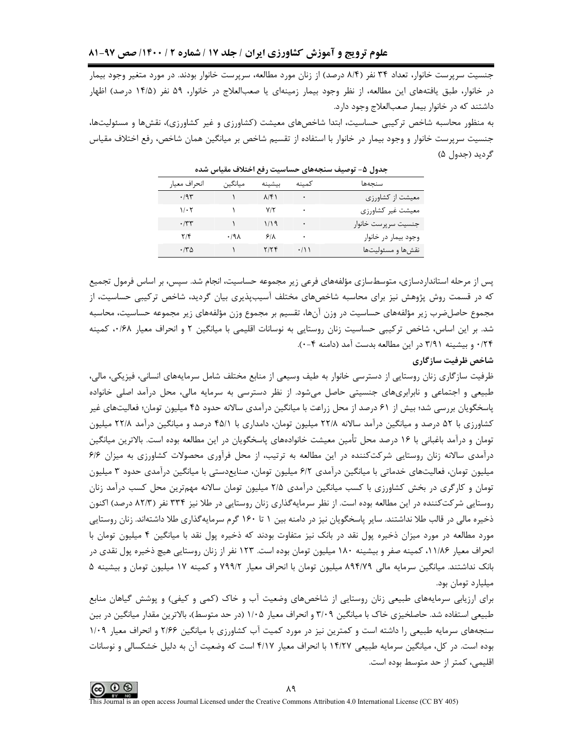جنسیت سرپرست خانوار، تعداد ۳۴ نفر (۸/۴ درصد) از زنان مورد مطالعه، سرپرست خانوار بودند. در مورد متغیر وجود بیمار در خانوار، طبق یافتههای این مطالعه، از نظر وجود بیمار زمینهای یا صعبالعلاج در خانوار، ۵۹ نفر (۱۴/۵ درصد) اظهار داشتند که در خانوار بیمار صعبالعلاج وجود دارد.

به منظور محاسبه شاخص ترکیبی حساسیت، ابتدا شاخصهای معیشت (کشاورزی و غیر کشاورزی)، نقشها و مسئولیتها، جنسیت سرپرست خانوار و وجود بیمار در خانوار با استفاده از تقسیم شاخص بر میانگین همان شاخص، رفع اختلاف مقیاس گرديد (جدول ۵)

| انحراف معيار            | ميانگين | بيشينه        | كمىنە         | سنحهها               |
|-------------------------|---------|---------------|---------------|----------------------|
| .795                    |         | $\lambda$ /۴) | $\bullet$     | معیشت از کشاورزی     |
| $1/\cdot 7$             |         | $V/\tau$      | ٠             | معيشت غير كشاورزى    |
| .77                     |         | 1/19          | ٠             | جنسيت سرپرست خانوار  |
| $\mathbf{Y}/\mathbf{F}$ | ۰/۹۸    | 9/1           | ٠             | وجود بيمار در خانوار |
| $\cdot$ /۳۵             |         | ۲/۲۴          | $\cdot$ / \ \ | نقشءا و مسئولیتها    |

جدول ۵– توصیف سنجههای حساسیت رفع اختلاف مقیاس شده

پس از مرحله استانداردسازی، متوسطسازی مؤلفههای فرعی زیر مجموعه حساسیت، انجام شد. سپس، بر اساس فرمول تجمیع که در قسمت روش پژوهش نیز برای محاسبه شاخصهای مختلف آسیبپذیری بیان گردید، شاخص ترکیبی حساسیت، از مجموع حاصلضرب زير مؤلفههاى حساسيت در وزن آنها، تقسيم بر مجموع وزن مؤلفههاى زير مجموعه حساسيت، محاسبه شد. بر این اساس، شاخص ترکیبی حساسیت زنان روستایی به نوسانات اقلیمی با میانگین ۲ و انحراف معیار ۰۰/۶۸، کمینه ۰/۲۴ و بیشینه ۳/۹۱ در این مطالعه بدست آمد (دامنه ۴-۰).

# شاخص ظرفيت سازگاري

ظرفیت سازگاری زنان روستایی از دسترسی خانوار به طیف وسیعی از منابع مختلف شامل سرمایههای انسانی، فیزیکی، مالی، طبیعی و اجتماعی و نابرابریهای جنسیتی حاصل میشود. از نظر دسترسی به سرمایه مالی، محل درآمد اصلی خانواده پاسخگویان بررسی شد؛ بیش از ۶۱ درصد از محل زراعت با میانگین درآمدی سالانه حدود ۴۵ میلیون تومان؛ فعالیتهای غیر کشاورزی با ۵۲ درصد و میانگین درآمد سالانه ۲۲/۸ میلیون تومان، دامداری با ۴۵/۱ درصد و میانگین درآمد ۲۲/۸ میلیون تومان و درآمد باغبانی با ۱۶ درصد محل تأمین معیشت خانوادههای پاسخگویان در این مطالعه بوده است. بالاترین میانگین درآمدی سالانه زنان روستایی شرکتکننده در این مطالعه به ترتیب، از محل فرآوری محصولات کشاورزی به میزان ۶۱۶ میلیون تومان، فعالیتهای خدماتی با میانگین درآمدی ۶/۲ میلیون تومان، صنایعدستی با میانگین درآمدی حدود ۳ میلیون تومان و کارگری در بخش کشاورزی با کسب میانگین درآمدی ۲/۵ میلیون تومان سالانه مهمترین محل کسب درآمد زنان روستایی شرکتکننده در این مطالعه بوده است. از نظر سرمایهگذاری زنان روستایی در طلا نیز ۳۳۴ نفر (۸۲/۳ درصد) اکنون ذخیره مالی در قالب طلا نداشتند. سایر پاسخگویان نیز در دامنه بین ۱ تا ۱۶۰ گرم سرمایهگذاری طلا داشتهاند. زنان روستایی مورد مطالعه در مورد میزان ذخیره پول نقد در بانک نیز متفاوت بودند که ذخیره پول نقد با میانگین ۴ میلیون تومان با انحراف معیار ۱۱/۸۶، کمینه صفر و بیشینه ۱۸۰ میلیون تومان بوده است. ۱۲۳ نفر از زنان روستایی هیچ ذخیره یول نقدی در بانک نداشتند. میانگین سرمایه مالی ۸۹۴/۷۹ میلیون تومان با انحراف معیار ۷۹۹/۲ و کمینه ۱۷ میلیون تومان و بیشینه ۵ میلیارد تومان بود.

برای ارزیابی سرمایههای طبیعی زنان روستایی از شاخصهای وضعیت آب و خاک (کمی و کیفی) و پوشش گیاهان منابع طبیعی استفاده شد. حاصلخیزی خاک با میانگین ۳/۰۹ و انحراف معیار ۱/۰۵ (در حد متوسط)، بالاترین مقدار میانگین در بین سنجههای سرمایه طبیعی را داشته است و کمترین نیز در مورد کمیت آب کشاورزی با میانگین ۲۱۶۶ و انحراف معیار ۱۱۰۹ بوده است. در کل، میانگین سرمایه طبیعی ۱۴/۲۷ با انحراف معیار ۴/۱۷ است که وضعیت آن به دلیل خشکسالی و نوسانات اقلیمے، کمتر از حد متوسط بودہ است.

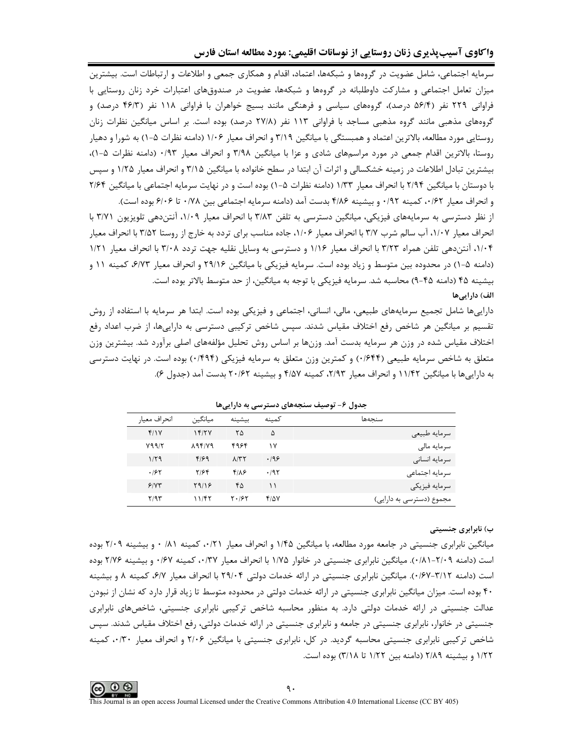سرمایه اجتماعی، شامل عضویت در گروهها و شبکهها، اعتماد، اقدام و همکاری جمعی و اطلاعات و ارتباطات است. بیشترین میزان تعامل اجتماعی و مشارکت داوطلبانه در گروهها و شبکهها، عضویت در صندوق،های اعتبارات خرد زنان روستایی با فراوانی ۲۲۹ نفر (۵۶/۴ درصد)، گروههای سیاسی و فرهنگی مانند بسیج خواهران با فراوانی ۱۱۸ نفر (۴۶/۳ درصد) و گروههای مذهبی مانند گروه مذهبی مساجد با فراوانی ۱۱۳ نفر (۲۷/۸ درصد) بوده است. بر اساس میانگین نظرات زنان روستایی مورد مطالعه، بالاترین اعتماد و همبستگی با میانگین ۳/۱۹ و انحراف معیار ۱/۰۶ (دامنه نظرات ۵-۱) به شورا و دهیار روستا، بالاترین اقدام جمعی در مورد مراسمهای شادی و عزا با میانگین ۳/۹۸ و انحراف معیار ۰/۹۳ (دامنه نظرات ۵-۱)، بیشترین تبادل اطلاعات در زمینه خشکسالی و اثرات آن ابتدا در سطح خانواده با میانگین ۳/۱۵ و انحراف معیار ۱/۲۵ و سپس با دوستان با میانگین ۲/۹۴ با انحراف معیار ۱/۳۳ (دامنه نظرات ۵−۱) بوده است و در نهایت سرمایه اجتماعی با میانگین ۲/۶۴ و انحراف معيار ٠/٤٢، كمينه ٠/٩٢ و بيشينه ٤/٨۶ بدست آمد (دامنه سرمايه اجتماعي بين ٧٨٨٠ تا ۶/٠۶ بوده است).

از نظر دسترسی به سرمایههای فیزیکی، میانگین دسترسی به تلفن ۳/۸۳ با انحراف معیار ۱/۰۹، آنتندهی تلویزیون ۳/۷۱ با انحراف معیار ۱/۰۷، آب سالم شرب ۳/۷ با انحراف معیار ۱/۰۶، جاده مناسب برای تردد به خارج از روستا ۳/۵۲ با انحراف معیار ۰۱/۰۴ آنتندهی تلفن همراه ۳/۲۳ با انحراف معیار ۱/۱۶ و دسترسی به وسایل نقلیه جهت تردد ۳/۰۸ با انحراف معیار ۱/۲۱ (دامنه ۵-۱) در محدوده بین متوسط و زیاد بوده است. سرمایه فیزیکی با میانگین ۲۹/۱۶ و انحراف معیار ۶/۷۳، کمینه ۱۱ و بيشينه ۴۵ (دامنه ۴۵-۹) محاسبه شد. سرمايه فيزيكي با توجه به ميانگين، از حد متوسط بالاتر بوده است. الف) دارایی ها

دارایی ها شامل تجمیع سرمایههای طبیعی، مالی، انسانی، اجتماعی و فیزیکی بوده است. ابتدا هر سرمایه با استفاده از روش تقسیم بر میانگین هر شاخص رفع اختلاف مقیاس شدند. سپس شاخص ترکیبی دسترسی به داراییها، از ضرب اعداد رفع اختلاف مقیاس شده در وزن هر سرمایه بدست آمد. وزنها بر اساس روش تحلیل مؤلفههای اصلی برآورد شد. بیشترین وزن متعلق به شاخص سرمایه طبیعی (۱۶۴۴) و کمترین وزن متعلق به سرمایه فیزیکی (۱۴۹۴) بوده است. در نهایت دسترسی به دارایی ها با میانگین ۱۱/۴۲ و انحراف معیار ۲/۹۳، کمینه ۴/۵۷ و بیشینه ۲۰/۶۲ بدست آمد (جدول ۶).

| سنحەها                   | كمىنە        | بيشينه                     | ميانگين                  | انحراف معيار |
|--------------------------|--------------|----------------------------|--------------------------|--------------|
| سرمايه طبيعي             | ۵            | ۲۵                         | 15/7V                    | f/Y          |
| سرمایه مالی              | ۱۷           | ۴۹۶۴                       | $\lambda$ 94/ $\gamma$ 9 | Y99/7        |
| سرمايه انسانى            | .199         | $\Lambda/\Upsilon\Upsilon$ | 4/69                     | 1/79         |
| سرمايه اجتماعى           | .195         | ۴۱۸۶                       | ۲/۶۴                     | .195         |
| سرمايه فيزيكى            | ۱۱           | ۴۵                         | ۲۹/۱۶                    | 5/77         |
| مجموع (دسترسی به دارایی) | $f/\Delta V$ | $Y \cdot 19Y$              | ۱۱/۴۲                    | Y/9Y         |

جدول ۶- توصیف سنجههای دسترسی به داراییها

#### ب) نابرابری جنسیتی

میانگین نابرابری جنسیتی در جامعه مورد مطالعه، با میانگین ۱/۴۵ و انحراف معیار ۰/۲۱، کمینه ۸۱/ ۰ و بیشینه ۲/۰۹ بوده است (دامنه ۲/۰۹–۱۸۱۰). میانگین نابرابری جنسیتی در خانوار ۱/۷۵ با انحراف معیار ۰/۳۷، کمینه ۱۶۷۰ و بیشینه ۲/۷۶ بوده است (دامنه ۰/۶۷-۱۶۷-۴). میانگین نابرابری جنسیتی در ارائه خدمات دولتی ۲۹/۰۴ با انحراف معیار ۶/۷، کمینه ۸ و بیشینه ۴۰ بوده است. میزان میانگین نابرابری جنسیتی در ارائه خدمات دولتی در محدوده متوسط تا زیاد قرار دارد که نشان از نبودن عدالت جنسیتی در ارائه خدمات دولتی دارد. به منظور محاسبه شاخص ترکیبی نابرابری جنسیتی، شاخصهای نابرابری جنسیتی در خانوار، نابرابری جنسیتی در جامعه و نابرابری جنسیتی در ارائه خدمات دولتی، رفع اختلاف مقیاس شدند. سیس شاخص ترکیبی نابرابری جنسیتی محاسبه گردید. در کل، نابرابری جنسیتی با میانگین ۲/۰۶ و انحراف معیار ۰٬۱۳۰ کمینه ١/٢٢ و بيشينه ٢/٨٩ (دامنه بين ١/٢٢ تا ٣/١٨) بوده است.

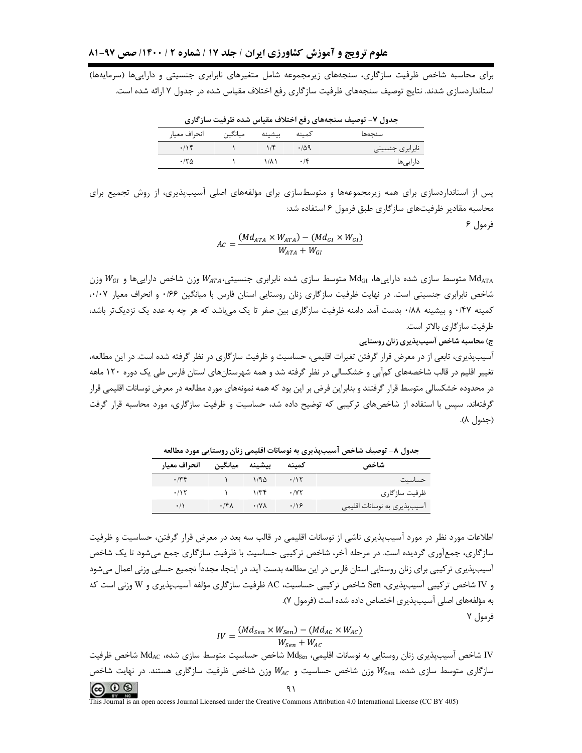برای محاسبه شاخص ظرفیت سازگاری، سنجههای زیرمجموعه شامل متغیرهای نابرابری جنسیتی و داراییها (سرمایهها) استانداردسازی شدند. نتایج توصیف سنجههای ظرفیت سازگاری رفع اختلاف مقیاس شده در جدول ۷ ارائه شده است.

| جدول ۷- توصیف سنجههای رفع اختلاف مقیاس شده ظرفیت سازگاری |         |                   |            |                   |  |  |  |
|----------------------------------------------------------|---------|-------------------|------------|-------------------|--|--|--|
| انحراف معيا,                                             | ميانگين | بيشينه            | كمىنە      | سنحەها            |  |  |  |
| .19                                                      |         |                   | ۰/∆۹       | ٰ نابرابری جنسیتی |  |  |  |
| ۱۲۵                                                      |         | $\lambda/\lambda$ | $\cdot$ /۴ | داراییها          |  |  |  |

 $\mathbb{R}^d$  and  $\lambda$  the substitution of  $\lambda$  and  $\lambda$  and  $\lambda$  and  $\lambda$  and  $\lambda$  and  $\lambda$  and  $\lambda$  and  $\lambda$  and  $\lambda$  and  $\lambda$  and  $\lambda$  and  $\lambda$  and  $\lambda$  and  $\lambda$  and  $\lambda$  and  $\lambda$  and  $\lambda$  and  $\lambda$  and  $\lambda$  and  $\lambda$  and

پس از استانداردسازی برای همه زیرمجموعهها و متوسطسازی برای مؤلفههای اصلی آسیبپذیری، از روش تجمیع برای محاسبه مقادیر ظرفیتهای سازگاری طبق فرمول ۶ استفاده شد:

فرمول ۶

$$
Ac = \frac{(Md_{ATA} \times W_{ATA}) - (Md_{GI} \times W_{GI})}{W_{ATA} + W_{GI}}
$$

وزن شاخص دارایی ها متوسط سازی شده دارایی ها، Md<sub>GI</sub> متوسط سازی شده نابرابری جنسیتی، W<sub>aTA</sub> وزن شاخص دارایی ها و W<sub>aT</sub> وزن شاخص نابرابری جنسیتی است. در نهایت ظرفیت سازگاری زنان روستایی استان فارس با میانگین ۱۶۶ و انحراف معیار ۰۰/۰۷ کمینه ۰/۴۷ و بیشینه ۰/۸۸ بدست آمد. دامنه ظرفیت سازگاری بین صفر تا یک می،باشد که هر چه به عدد یک نزدیکتر باشد، ظرفیت سازگاری بالاتر است.

ج) محاسبه شاخص آسیب پذیری زنان روستایی

آسیبپذیری، تابعی از در معرض قرار گرفتن تغیرات اقلیمی، حساسیت و ظرفیت سازگاری در نظر گرفته شده است. در این مطالعه، تغییر اقلیم در قالب شاخصههای کمآبی و خشکسالی در نظر گرفته شد و همه شهرستانهای استان فارس طی یک دوره ۱۲۰ ماهه در محدوده خشکسالی متوسط قرار گرفتند و بنابراین فرض بر این بود که همه نمونههای مورد مطالعه در معرض نوسانات اقلیمی قرار گرفتهاند. سیس با استفاده از شاخصهای ترکیبی که توضیح داده شد، حساسیت و ظرفیت سازگاری، مورد محاسبه قرار گرفت (جدول ۸).

| __<br>. .<br>.              | <i>.</i> . _ <i>.</i> |               | --------       | ----         |
|-----------------------------|-----------------------|---------------|----------------|--------------|
| شاخص                        | كمننه                 |               | بيشينه ميانگين | انحراف معيار |
| احساسىت                     | .715                  | 1/90          |                | .779         |
| ظرفیت سازگاری               | $\cdot$ /yy           | $1/\tau$      |                | .115         |
| آسیبپذیری به نوسانات اقلیمی | $\cdot$ /16           | $\cdot$ / Y A | $.15\lambda$   | $\cdot/1$    |

جدول ٨- توصیف شاخص آسیبپذیری به نوسانات اقلیمی زنان روستایی مورد مطالعه

اطلاعات مورد نظر در مورد آسیبپذیری ناشی از نوسانات اقلیمی در قالب سه بعد در معرض قرار گرفتن، حساسیت و ظرفیت سازگاری، جمعآوری گردیده است. در مرحله آخر، شاخص ترکیبی حساسیت با ظرفیت سازگاری جمع میشود تا یک شاخص آسیبپذیری ترکیبی برای زنان روستایی استان فارس در این مطالعه بدست آید. در اینجا، مجدداً تجمیع حسابی وزنی اعمال می شود و IV شاخص تركيبي آسيبپذيري، Sen شاخص تركيبي حساسيت، AC ظرفيت سازگاري مؤلفه آسيبپذيري و W وزني است كه به مؤلفههای اصلی آسیبپذیری اختصاص داده شده است (فرمول ۷).

فرمول ۷

$$
IV = \frac{(Md_{Sen} \times W_{Sen}) - (Md_{AC} \times W_{AC})}{W_{Sen} + W_{AC}}
$$

IV شاخص آسیبپذیری زنان روستایی به نوسانات اقلیمی، Md<sub>sen</sub> شاخص حساسیت متوسط سازی شده، Md<sub>AC</sub> شاخص ظرفیت سازگاری متوسط سازی شده، Wsen وزن شاخص حساسیت و Wac وزن شاخص ظرفیت سازگاری هستند. در نهایت شاخص

$$
\bigcirc \hspace{-0.5mm} \bigcirc \hspace{-0.5mm} \bigcirc \hspace{-0.5mm} \bigcirc \hspace{-0.5mm} \bigcirc \hspace{-0.5mm} \bigcirc
$$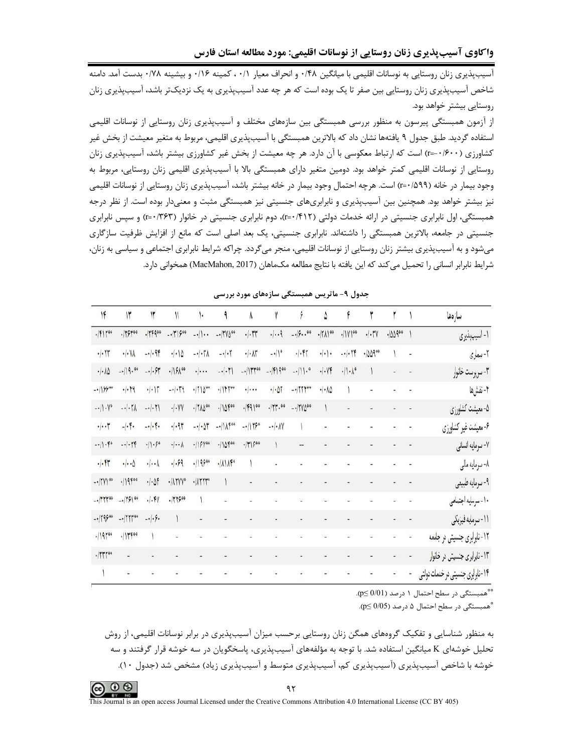آسیبپذیری زنان روستایی به نوسانات اقلیمی با میانگین ۰/۴۸ و انحراف معیار ۰/۱۱ کمینه ۰/۱۶ و بیشینه ۰/۷۸ بدست آمد. دامنه شاخص آسیبپذیری زنان روستایی بین صفر تا یک بوده است که هر چه عدد آسیبپذیری به یک نزدیکتر باشد، آسیبپذیری زنان روستایی بیشتر خواهد بود.

از آزمون همبستگی پیرسون به منظور بررسی همبستگی بین سازمهای مختلف و آسیبپذیری زنان روستایی از نوسانات اقلیمی استفاده گردید. طبق جدول ۹ یافتهها نشان داد که بالاترین همبستگی با آسیبیذیری اقلیمی، مربوط به متغیر معیشت از بخش غیر کشاورزی (۴۰۰/۰۰=r) است که ارتباط معکوسی با آن دارد. هر چه معیشت از بخش غیر کشاورزی بیشتر باشد، آسیبپذیری زنان روستایی از نوسانات اقلیمی کمتر خواهد بود. دومین متغیر دارای همبستگی بالا با آسیبپذیری اقلیمی زنان روستایی، مربوط به وجود بيمار در خانه (1\40/+r) است. هرچه احتمال وجود بيمار در خانه بيشتر باشد، آسيبپذيري زنان روستايي از نوسانات اقليمي نیز بیشتر خواهد بود. همچنین بین آسیبپذیری و نابرابریهای جنسیتی نیز همبستگی مثبت و معنیدار بوده است. از نظر درجه همبستگی، اول نابرابری جنسیتی در ارائه خدمات دولتی (۴۱۲/۰=۲)، دوم نابرابری جنسیتی در خانوار (۳۶۳/۰=۲) و سپس نابرابری جنسیتی در جامعه، بالاترین همبستگی را داشتهاند. نابرابری جنسیتی، یک بعد اصلی است که مانع از افزایش ظرفیت سازگاری میشود و به آسیبپذیری بیشتر زنان روستایی از نوسانات اقلیمی، منجر میگردد. چراکه شرایط نابرابری اجتماعی و سیاسی به زنان، شرايط نابرابر انساني را تحميل مي كند كه اين يافته با نتايج مطالعه مكـماهان (MacMahon, 2017) همخواني دارد.

| ۱۴                           | $\mathsf{I}^\star$                   | $\mathsf{I}^\mathsf{r}$                  | ١١                              | 1.                                              | ۹                     | $\lambda$                        | Y                                   | ۶                                | ۵                           | ۴                         | ۳       | ۲                   |    | سازدها                            |
|------------------------------|--------------------------------------|------------------------------------------|---------------------------------|-------------------------------------------------|-----------------------|----------------------------------|-------------------------------------|----------------------------------|-----------------------------|---------------------------|---------|---------------------|----|-----------------------------------|
| $.  F Y^{40}$                | .179400                              | .11900                                   | $-1790$                         | $-\cdot$    $\cdot$ -                           | $-17\%$               | $\cdot \cdot\uparrow\uparrow$    | .  . .9                             | $-19.14$                         | $\cdot  I \rangle ^{44}$    | $.71$ Y 1 $^{\circ}$      | $-1.7Y$ | $-100$ 900          |    | ۱- اسیپېډیري                      |
| $\cdot$ $\cdot$ rr           | $\cdot   \cdot \rangle$              | $-1 - 96$                                | $\cdot$ / $\cdot$ / $\Delta$    | $-\cdot$ $\uparrow$ $\uparrow$                  | $-1 - 1$              | $\cdot/\cdot\!\!\!\!\lambda\tau$ | $-.11$                              | $.11 -$                          | $\cdot   \cdot   \cdot$     | $-1 - 17$                 | -100900 |                     |    | ٢-بيماري                          |
| $\cdot/\cdot\lambda\Delta$   | $-119.40$                            | $-1.97$                                  | $.   \rangle$ $64$              | $\cdot$ $ \cdot$ $\cdot$                        | $-1.7$                | $-115700$                        | $-15900$                            | $- \cdot     \cdot$ <sup>0</sup> | $\cdot \cdot $              | $\cdot$    $\cdot$ \text{ |         | $\omega_{\rm{eff}}$ | ¥, | ٣- سرپرست خانوار                  |
| $-11990$                     | .1.19                                | $\cdot \cdot $                           | $-1 - 19$                       | $\cdot$ /٢١۵**                                  |                       | $\cdot$ $\cdot$ $\cdot$          | $\cdot \!\cdot\!\!\cdot\!\!\rangle$ | $-1111$                          | $\cdot/\cdot \wedge \Delta$ |                           | ÷,      | $\omega$            | è  | ۴-نقشها                           |
| $- \cdot    \cdot V^{\circ}$ | $- \cdot   \cdot   \wedge$           | $-1 - 1$                                 | $\cdot$ / $\cdot$ YY            | $\cdot/\uparrow\uparrow\downarrow\uparrow^{00}$ | $-110$ f $\circ$      | $.  F9 $ <sup>60</sup>           | $\cdot$ /۲۳.00                      | $-17Y0^{00}$                     |                             | ä,                        |         |                     |    | ۵-معیشت کشاورزی                   |
| $\cdot \cdot\cdot $          | $- \cdot ^2$                         | $-1 - 1.5$                               | $-1.97$                         | $-1.07$                                         | $-11$ $\Lambda$ $500$ | $-1115°$                         | $-\cdot/\cdot\Lambda$ Y             |                                  | ÷                           |                           |         |                     |    | ۶- معیشت غیر کشاورزی              |
| $-11.50$                     | $- -  - \uparrow \uparrow$           | $-1.50$                                  | $\cdot \!\cdot\!\cdot\!\rangle$ | $-19400$                                        | $-110$ foo            | $- T $ $5^{40}$                  |                                     |                                  |                             |                           |         |                     |    | ٧- سرمايه اتسانى                  |
| $\cdot$ $\cdot$ Fr           | $\cdot \cdot\cdot\mathbin{\lozenge}$ | $\cdot \!\cdot\!\cdot\!$                 | $-1.59$                         | .9990                                           | $\cdot$ /////         |                                  | $\overline{\phantom{a}}$            | ÷                                |                             |                           |         |                     |    | ۸- سرمایه مالی                    |
| $-1$ (YY) <sup>40</sup>      | $-119500$                            | $\cdot \!\cdot\! \mathsf{M}$             | $\cdot$ / $\Lambda$ ۲۷γ°        | $\cdot$ $\Lambda$ $\uparrow$ $\uparrow$         |                       | $\blacksquare$                   | $\blacksquare$                      |                                  | $\frac{1}{2}$               |                           |         | ٠                   |    | ۹- سرمايه طبيعي                   |
| $-.$ TYY $*$                 | $-179100$                            | $. \cdot $                               | .115000                         | ١                                               | ٠                     |                                  |                                     |                                  |                             |                           |         |                     |    | ١٠- سرمايه اجتماعي                |
| $-179500$                    | $-. $                                | $- \cdot   \cdot \hat{\mathsf{y}} \cdot$ |                                 | $\omega$                                        | ۷                     |                                  | $\blacksquare$                      |                                  |                             |                           |         | ٠                   |    | 11-سرمايه فيزيكي                  |
| .19100                       | $.$    $+$ $+$ $+$                   |                                          |                                 | i.                                              |                       |                                  | ä,                                  | Q                                |                             |                           |         |                     |    | ۱۲-نابرابری جنسیتی در جامعه       |
| .14440                       |                                      |                                          |                                 |                                                 |                       |                                  |                                     |                                  |                             |                           |         | ٠                   | ÷  | ١٣- نابرابری جنسیتی در خانوار     |
|                              | í,                                   |                                          |                                 | -                                               | -                     | $\overline{\phantom{a}}$         | $\overline{\phantom{a}}$            | $\overline{a}$                   | $\overline{\phantom{a}}$    | ă                         |         |                     | ä  | ۱۴-نابرابری جنسیتی در خدمات دولتی |

جدول ۹- ماتریس همبستگی سازههای مورد بررسی

\*\*همبستگی در سطح احتمال ۱ درصد (p≤ 0/01).

\*همبستگی در سطح احتمال ۵ درصد (0/05\_p).

به منظور شناسایی و تفکیک گروههای همگن زنان روستایی برحسب میزان آسیبپذیری در برابر نوسانات اقلیمی، از روش تحلیل خوشهای K میانگین استفاده شد. با توجه به مؤلفههای آسیبیذیری، پاسخگویان در سه خوشه قرار گرفتند و سه خوشه با شاخص آسیب پذیری (آسیب پذیری کم، آسیب پذیری متوسط و آسیب پذیری زباد) مشخص شد (جدول ۱۰).

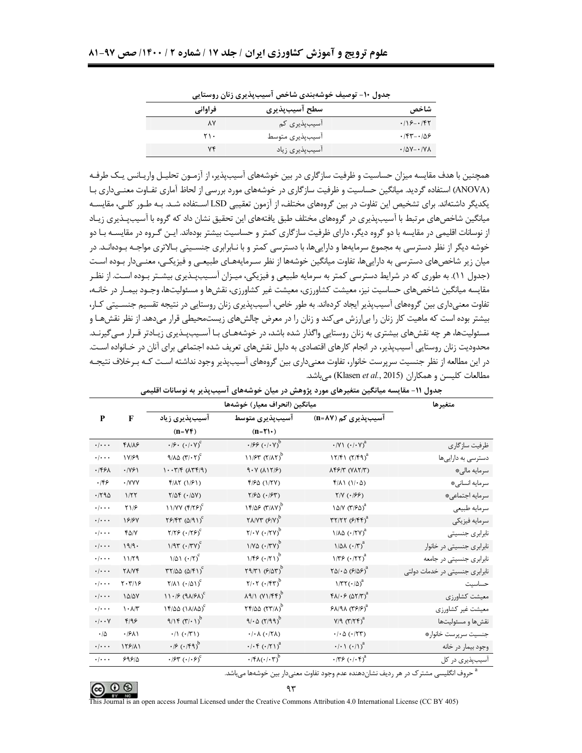| فراواني | سطح آسيبپذيري   | شاخص                                       |
|---------|-----------------|--------------------------------------------|
| ٨Y      | آسیبپذیری کم    | $.78 - .787$                               |
| ۲۱۰     | آسيبپذيري متوسط | $\cdot$ /۴۳- $\cdot$ /۵۶                   |
|         | آسیبپذیری زیاد  | $\cdot$ / $\Delta V - \cdot$ / $V \Lambda$ |

جدول ۱۰– توصیف خوشهبندی شاخص آسیبیذیری زنان روستایی

همچنین با هدف مقایسه میزان حساسیت و ظرفیت سازگاری در بین خوشههای آسیبپذیر، از آزمـون تحلیـل واریـانس یـک طرفـه (ANOVA) استفاده گردید. میانگین حساسیت و ظرفیت سازگاری در خوشههای مورد بررسی از لحاظ آماری تفـاوت معنـی<اری بـا یکدیگر داشتهاند. برای تشخیص این تفاوت در بین گروههای مختلف، از آزمون تعقیبی LSD اسـتفاده شـد. بـه طـور کلـی، مقایسـه میانگین شاخصهای مرتبط با آسیبپذیری در گروههای مختلف طبق یافتههای این تحقیق نشان داد که گروه با آسیبپـذیری زیـاد از نوسانات اقلیمے در مقایسه با دو گروه دیگر، دارای ظرفیت سازگاری کمتر و حساسیت بیشتر بودهاند. ایـن گـروه در مقایسـه بـا دو خوشه دیگر از نظر دسترسی به مجموع سرمایهها و داراییها، با دسترسی کمتر و با نـابرابری جنســیتی بـالاتری مواجــه بـودهانــد. در میان زیر شاخصهای دسترسی به داراییها، تفاوت میانگین خوشهها از نظر سـرمایههـای طبیعـی و فیزیکـی، معنـیدار بـوده اسـت (جدول ١١). به طوري كه در شرايط دسترسي كمتر به سرمايه طبيعي و فيزيكي، ميـزان آسـيبپـذيري بيشـتر بـوده اسـت. از نظـر مقایسه میانگین شاخصهای حساسیت نیز، معیشت کشاورزی، معیشت غیر کشاورزی، نقشها و مسئولیتها، وجـود بیمـار در خانـه، تفاوت معنی داری بین گروههای آسیبیذیر ایجاد کردهاند. به طور خاص، آسیبیذیری زنان روستایی در نتیجه تقسیم جنسـیتی کـار، بیشتر بوده است که ماهیت کار زنان را بی|رزش میکند و زنان را در معرض چالشهای زیستمحیطی قرار میدهد. از نظر نقشهـا و مسئولیتها، هر چه نقشهای بیشتری به زنان روستایی واگذار شده باشد، در خوشههـای بـا آسـیبپـذیری زیـادتر قـرار مـیگیرنـد. محدوديت زنان روستايي آسيبپذير، در انجام كارهاي اقتصادي به دليل نقش@ي تعريف شده اجتماعي براي آنان در خـانواده اسـت. در این مطالعه از نظر جنسیت سرپرست خانوار، تفاوت معنیداری بین گروههای آسیبپذیر وجود نداشته اسـت کـه بـرخلاف نتیجـه مطالعات كليسن و همكاران (Klasen et al., 2015) مى باشد.

|                           |                              |                                                                  | میانگین (انحراف معیار) خوشهها                             |                                                                                                          | متغيرها                        |
|---------------------------|------------------------------|------------------------------------------------------------------|-----------------------------------------------------------|----------------------------------------------------------------------------------------------------------|--------------------------------|
| P                         | F                            | آسیبپذیری زیاد                                                   | آسيبپذيرى متوسط                                           | آسیبپذیری کم (n=۸۷)                                                                                      |                                |
|                           |                              | $(n = VF)$                                                       | $(n = \Upsilon)$                                          |                                                                                                          |                                |
| $\cdot$ / $\cdot$ $\cdot$ | 41/16                        | $\cdot$ /۶ $\cdot$ ( $\cdot$ / $\cdot$ Y) <sup>c</sup>           | $\cdot$ 199 $(\cdot/\cdot \vee)^{b}$                      | $\cdot$ /Y \ $(\cdot / \cdot \vee)^a$                                                                    | ظرفيت سازگاري                  |
| $\cdot/\cdot\cdot\cdot$   | 18/99                        | $9/\lambda \Delta (\Upsilon/\cdot \Upsilon)^c$                   | $11/57 (7/17)^b$                                          | $17/F1 (7/F9)^{a}$                                                                                       | دسترسی به داراییها             |
| .1991                     | .1991                        | $1.77/5$ ( $\Lambda$ ۳۴/۹)                                       | $9.4$ ( $\lambda$ ) $\gamma$ ( $\lambda$ )                | <b><i>AFFIT (VATIT)</i></b>                                                                              | سرمايه مالي*                   |
| .199                      | · /YYY                       | $f/\lambda \Upsilon$ (1/۶1)                                      | ۴/۶۵ (۱/۲۷)                                               | $f/\lambda$ ( $1/\cdot$ $\Delta$ )                                                                       | سرمايه انسانى*                 |
| .790                      | 1/57                         | $\mathsf{Y}/\Delta \mathsf{F}\ (\cdot/\Delta \mathsf{Y})$        | $Y/\mathcal{F}\Delta$ ( $\cdot$ / $\mathcal{F}\Upsilon$ ) | $\uparrow/\upgamma$ ( $\cdot/\upbeta\upbeta$ )                                                           | سرمايه اجتماعي*                |
| $\cdot/\cdot\cdot$        | Y1/F                         | $11/YY (f/75)^c$                                                 | $15/05$ (T/AV) <sup>b</sup>                               | 10/V (٣/۶٥) <sup>a</sup>                                                                                 | سرمايه طبيعي                   |
| $\cdot/\cdot\cdot$        | 18184                        | $Y$ $9$ $Y$ $Y$ $(0)$ $(9)$ $Y$                                  | $Y\Lambda/YY$ $(9/Y)^b$                                   | $\mathsf{r}\mathsf{r}/\mathsf{r}\mathsf{r}$ ( $\mathsf{F}/\mathsf{f}\mathsf{f}\mathsf{r}$ ) <sup>a</sup> | سرمايه فيزيكي                  |
| $\cdot$ / $\cdot$ .       | $f\Delta/Y$                  | $Y/ Y \mathcal{F} (Y Y \mathcal{F})^C$                           | $Y/\cdot Y (\cdot / \Upsilon V)^b$                        | $1/\lambda \Delta (1/\Upsilon V)^{a}$                                                                    | نابرابري جنسيتي                |
| $\cdot$ / $\cdot$ $\cdot$ | 19/9.                        | $1/97$ $(1/7)$ <sup>c</sup>                                      | $1/N\Delta$ $(0.77V)^b$                                   | $1/\Delta\lambda$ ( $\cdot$ /٣) <sup>a</sup>                                                             | نابرابری جنسیتی در خانوار      |
| $\cdot/\cdot\cdot\cdot$   | 11/79                        | $1/\Delta$ $($ $\cdot$ / $\tau$ ) <sup>c</sup>                   | 1/ff((1)                                                  | $1/\Gamma$ $9$ $($ $\cdot$ / $\Gamma$ $\Gamma$ $)$ <sup>a</sup>                                          | نابرابری جنسیتی در جامعه       |
| $\cdot/\cdot\cdot\cdot$   | <b>TANF</b>                  | $\Gamma\Upsilon/\Delta\Delta$ ( $\Delta/\Upsilon$ ) <sup>c</sup> | $Y9/YY (Y/\Delta Y)^b$                                    | $\Upsilon \Delta / \cdot \Delta (\mathcal{F}/\Delta \mathcal{F})^a$                                      | نابرابری جنسیتی در خدمات دولتی |
| $\cdot$ / $\cdot$ $\cdot$ | $Y \cdot Y / Y$              | $Y/\Lambda$ ( $\cdot/\Delta$ ) <sup>c</sup>                      | $Y/\cdot Y$ ( $\cdot$ /۴۳) <sup>b</sup>                   | $1/\Upsilon\Upsilon(\cdot/\Delta)^{a}$                                                                   | حساسيت                         |
| $\cdot$ / $\cdot$ $\cdot$ | 10/07                        | $11.96 (9A)$ $8A)$                                               | $\lambda$ 9/1 (Y1/FF) <sup>b</sup>                        | $f \wedge / \cdot f (\wedge f)$ <sup>a</sup>                                                             | معيشت كشاورزي                  |
| $\cdot/\cdot\cdot\cdot$   | $\lambda \cdot \lambda/\tau$ | $15/20 (11/10)^c$                                                | $Yf/\Delta\Delta$ ( $YY/\Delta$ ) <sup>b</sup>            | $Y^2 \wedge (Y^2)$                                                                                       | معيشت غير كشاورزي              |
| $\cdot/\cdot\cdot$ Y      | F/99                         | 9/15 (1)                                                         | $9/0$ ( $7/99$ )                                          | $V/T (T/Tf)^a$                                                                                           | نقشها و مسئوليتها              |
| $\cdot/\Delta$            | .1911                        | $\cdot/\right)$ ( $\cdot/\right)$ )                              | $\cdot/\cdot \wedge (\cdot/\!\!\!\!\!\wedge\!\!\!\wedge)$ | $\cdot/\cdot \Delta$ ( $\cdot$ /٢٣)                                                                      | جنسيت سرپرست خانوار*           |
| $\cdot$ / $\cdot$ $\cdot$ | 158/11                       | $\cdot$ / $\times$ ( $\cdot$ / $\times$ $\uparrow$ )             | $\cdot$ / $\cdot$ ( $\cdot$ / $\uparrow$ )) <sup>a</sup>  | $\cdot/\cdot$ \ $(\cdot/\mathcal{N})^a$                                                                  | وجود بيمار در خانه             |
| $\cdot$ / $\cdot$ $\cdot$ | 595/0                        | $\cdot$ $\beta$ ۳ $\left(\cdot\right)\cdot$ $\beta$ <sup>c</sup> | $\cdot$ /۴۸( $\cdot$ / $\cdot$ ۳) <sup>b</sup>            | $\cdot$ /٣۶ $(\cdot \mid \cdot \nabla)^a$                                                                | آسیبپذیری در کل                |

| جدول ۱۱- مقایسه میانگین متغیرهای مورد پژوهش در میان خوشههای اسیبپذیر به نوسانات اقلی |  |
|--------------------------------------------------------------------------------------|--|
|--------------------------------------------------------------------------------------|--|

حروف انگلیسی مشترک در هر ردیف نشاندهنده عدم وجود تفاوت معنیدار بین خوشهها میباشد.

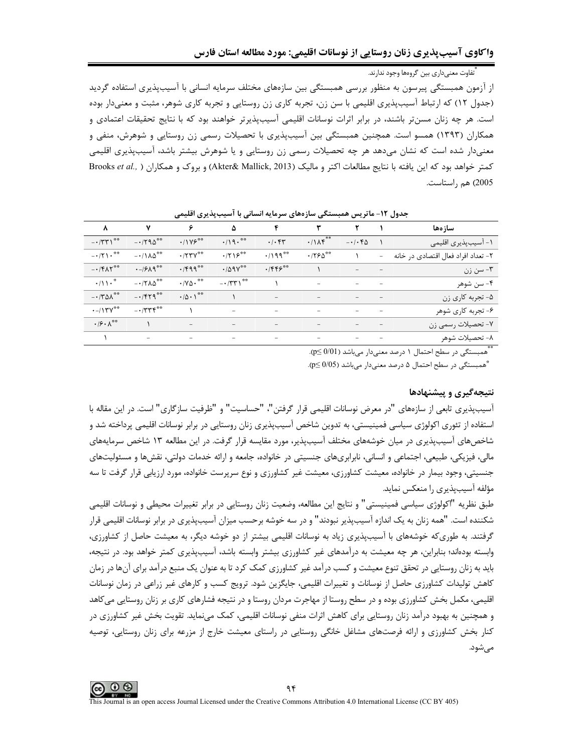۔<br>-<br>- تفاوت معنی داری بین گروہھا وحود ندا، ند.

از آزمون همبستگی پیرسون به منظور بررسی همبستگی بین سازههای مختلف سرمایه انسانی با آسیبپذیری استفاده گردید (جدول ١٢) كه ارتباط آسيبپذيري اقليمي با سن زن، تجربه كاري زن روستايي و تجربه كاري شوهر، مثبت و معنىدار بوده است. هر چه زنان مسنٍتر باشند، در برابر اثرات نوسانات اقلیمی آسیبپذیرتر خواهند بود که با نتایج تحقیقات اعتمادی و همکاران (۱۳۹۳) همسو است. همچنین همبستگی بین آسیبپذیری با تحصیلات رسمی زن روستایی و شوهرش، منفی و معنیدار شده است که نشان میدهد هر چه تحصیلات رسمی زن روستایی و یا شوهرش بیشتر باشد، آسیبپذیری اقلیمی كمتر خواهد بود كه اين يافته با نتايج مطالعات اكتر و ماليك (Akter& Mallick, 2013) و بروك و همكاران ( Brooks et al., 2005) هم راستاست.

| سازەھا                              |       | ٢                                                                                                                                                                                                            | $\mathbf{r}$               | ۴                               | ۵                                   | ۶                               | $\mathsf{v}$                          | $\lambda$                                                |
|-------------------------------------|-------|--------------------------------------------------------------------------------------------------------------------------------------------------------------------------------------------------------------|----------------------------|---------------------------------|-------------------------------------|---------------------------------|---------------------------------------|----------------------------------------------------------|
| ۱- آسیبپذیری اقلیمی                 |       | $-1.56$                                                                                                                                                                                                      | $\cdot/\lambda f^{**}$     | .1.54                           | $\cdot$ /19.**                      | $.11Y5***$                      | $-1790$                               | $ \cdot$ $/$ $\uparrow$ $\uparrow$ $\uparrow$ $\uparrow$ |
| ۲- تعداد افراد فعال اقتصادي در خانه | $ \,$ |                                                                                                                                                                                                              | $\cdot$ /۲۶۵ $^{\ast\ast}$ | $.199***$                       | $.7719***$                          | $\cdot$ /۲۳ $V^{\ast\ast}$      | $-11\lambda\Delta^{\ast\ast}$         | $-171$                                                   |
| ۳- سن زن                            |       | $\qquad \qquad -$                                                                                                                                                                                            |                            | $.755^{00}$                     | $\cdot$ / $\Delta$ 9 $V^{\ast\ast}$ | .7599                           | $\cdot$ -/ $5\lambda$ 9 <sup>**</sup> | $- \cdot$ /۴ $\Lambda \Upsilon^*$                        |
| ۴- سن شوهر                          |       | $\qquad \qquad -$                                                                                                                                                                                            | $\qquad \qquad -$          |                                 | $ \cdot$ /۳۳۱ <sup>**</sup>         | $\cdot$ / Y $\Delta$ $\cdot$ ** | $-17\lambda\Delta^{\ast\ast}$         | $\cdot$ /\\ $\cdot$ <sup>*</sup>                         |
| ۵- تجربه کاری زن                    |       |                                                                                                                                                                                                              | $\overline{\phantom{m}}$   |                                 |                                     | $\cdot/\Delta\cdot$ \**         | $-1579$                               | $-170**$                                                 |
| ۶- تجربه کاری شوهر                  |       | $\frac{1}{2} \left( \frac{1}{2} \right) \left( \frac{1}{2} \right) \left( \frac{1}{2} \right) \left( \frac{1}{2} \right) \left( \frac{1}{2} \right)$                                                         | $\overline{\phantom{m}}$   | $\overline{\phantom{a}}$        | $\overline{\phantom{0}}$            |                                 | $- \cdot 777$ ۴**                     | $\cdot$ -/1۳ $Y^{\ast\ast}$                              |
| ٧- تحصيلات رسمي زن                  |       | $\frac{1}{2} \left( \begin{array}{ccc} 1 & 0 & 0 \\ 0 & 0 & 0 \\ 0 & 0 & 0 \end{array} \right) = \frac{1}{2} \left( \begin{array}{ccc} 1 & 0 & 0 \\ 0 & 1 & 0 \\ 0 & 0 & 0 \\ 0 & 0 & 0 \end{array} \right)$ | $\overline{\phantom{a}}$   | $\overline{\phantom{a}}$        | $\overline{\phantom{a}}$            | $\overline{\phantom{m}}$        |                                       | $\cdot$ / $\cdot$ /**                                    |
| ۸- تحصیلات شوهر                     |       | $\overline{\phantom{a}}$                                                                                                                                                                                     | $\overline{\phantom{a}}$   | the contract of the contract of | the contract of the contract of     | $\overline{\phantom{a}}$        | $\overline{\phantom{a}}$              |                                                          |

جدول ١٢- ماتريس همبستگي سازههاي سرمايه انساني با آسيب پذيري اقليمي

\*\* همبستگی در سطح احتمال ۱ درصد معنی دار می باشد ( 0/01 ≥p).

\*همبستگی در سطح احتمال ۵ درصد معنیدار میباشد (p≤ 0/05).

### نتیجهگیری و پیشنهادها

آسیبیذیری تابعی از سازههای "در معرض نوسانات اقلیمی قرار گرفتن"، "حساسیت" و "ظرفیت سازگاری" است. در این مقاله با استفاده از تئوری اکولوژی سیاسی فمینیستی، به تدوین شاخص آسیبپذیری زنان روستایی در برابر نوسانات اقلیمی پرداخته شد و شاخصهای آسیبپذیری در میان خوشههای مختلف آسیبپذیر، مورد مقایسه قرار گرفت. در این مطالعه ۱۳ شاخص سرمایههای مالی، فیزیکی، طبیعی، اجتماعی و انسانی، نابرابریهای جنسیتی در خانواده، جامعه و ارائه خدمات دولتی، نقشها و مسئولیتهای جنسیتی، وجود بیمار در خانواده، معیشت کشاورزی، معیشت غیر کشاورزی و نوع سرپرست خانواده، مورد ارزیابی قرار گرفت تا سه مؤلفه آسیبیذیری را منعکس نماید.

طبق نظريه "اكولوژي سياسي فمينيستي" و نتايج اين مطالعه، وضعيت زنان روستايي در برابر تغييرات محيطي و نوسانات اقليمي شکننده است. "همه زنان به یک اندازه آسیبیذیر نبودند" و در سه خوشه برحسب میزان آسیبیذیری در برابر نوسانات اقلیمی قرار گرفتند. به طوریکه خوشههای با آسیبپذیری زیاد به نوسانات اقلیمی بیشتر از دو خوشه دیگر، به معیشت حاصل از کشاورزی، وابسته بودهاند؛ بنابراین، هر چه معیشت به درآمدهای غیر کشاورزی بیشتر وابسته باشد، آسیبپذیری کمتر خواهد بود. در نتیجه، باید به زنان روستایی در تحقق تنوع معیشت و کسب درآمد غیر کشاورزی کمک کرد تا به عنوان یک منبع درآمد برای آنها در زمان کاهش تولیدات کشاورزی حاصل از نوسانات و تغییرات اقلیمی، جایگزین شود. ترویج کسب و کارهای غیر زراعی در زمان نوسانات اقلیمی، مکمل بخش کشاورزی بوده و در سطح روستا از مهاجرت مردان روستا و در نتیجه فشارهای کاری بر زنان روستایی میکاهد و همچنین به بهبود درآمد زنان روستایی برای کاهش اثرات منفی نوسانات اقلیمی، کمک مینماید. تقویت بخش غیر کشاورزی در کنار بخش کشاورزی و ارائه فرصتهای مشاغل خانگی روستایی در راستای معیشت خارج از مزرعه برای زنان روستایی، توصیه مىشود.

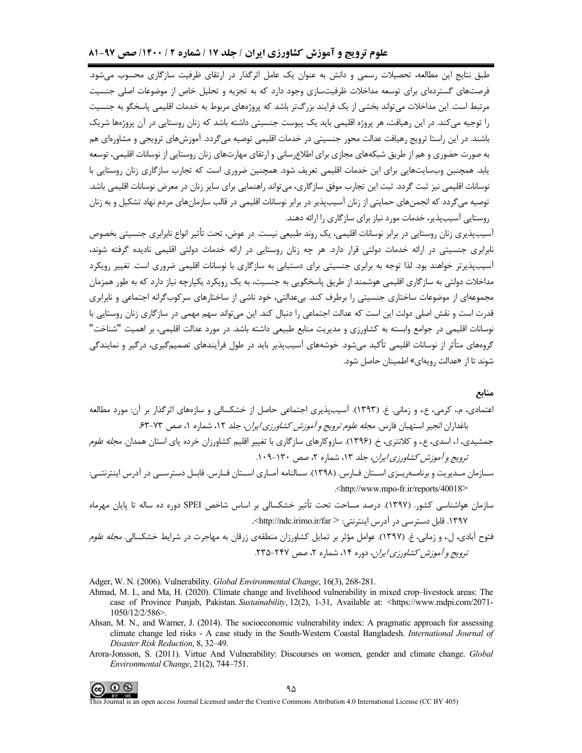# علوم ترویج و آموزش کشاورزی ایران / جلد ۱۷ / شماره ۲ / ۱۴۰۰/ صص ۹۷-۸۱

طبق نتایج این مطالعه، تحصیلات رسمی و دانش به عنوان یک عامل اثرگذار در ارتقای ظرفیت سازگاری محسوب میشود. فرصتهای گستردهای برای توسعه مداخلات ظرفیتسازی وجود دارد که به تجزیه و تحلیل خاص از موضوعات اصلی جنسیت مرتبط است. این مداخلات می تواند بخشی از یک فرایند بزرگتر باشد که پروژههای مربوط به خدمات اقلیمی پاسخگو به جنسیت را توجیه می کند. در این رهیافت، هر پروژه اقلیمی باید یک پیوست جنسیتی داشته باشد که زنان روستایی در آن پروژهها شریک باشند. در این راستا ترویج رهیافت عدالت محور جنسیتی در خدمات اقلیمی توصیه می¢ردد. آموزشهای ترویجی و مشاورهای هم به صورت حضوری و هم از طریق شبکههای مجازی برای اطلاع رسانی و ارتقای مهارتهای زنان روستایی از نوسانات اقلیمی، توسعه یابد. همچنین وبسایتهایی برای این خدمات اقلیمی تعریف شود. همچنین ضروری است که تجارب سازگاری زنان روستایی با نوسانات اقلیمی نیز ثبت گردد. ثبت این تجارب موفق سازگاری، می تواند راهنمایی برای سایر زنان در معرض نوسانات اقلیمی باشد. توصیه می گردد که انجمنهای حمایتی از زنان آسیبپذیر در برابر نوسانات اقلیمی در قالب سازمانهای مردم نهاد تشکیل و به زنان روستایی آسیبیذیر، خدمات مورد نیاز برای سازگاری را ارائه دهند.

آسیبپذیری زنان روستایی در برابر نوسانات اقلیمی، یک روند طبیعی نیست. در عوض، تحت تأثیر انواع نابرابری جنسیتی بخصوص نابرابری جنسیتی در ارائه خدمات دولتی قرار دارد. هر چه زنان روستایی در ارائه خدمات دولتی اقلیمی نادیده گرفته شوند، آسیبپذیرتر خواهند بود. لذا توجه به برابری جنسیتی برای دستیابی به سازگاری با نوسانات اقلیمی ضروری است. تغییر رویکرد مداخلات دولتی به سازگاری اقلیمی هوشمند از طریق پاسخگویی به جنسیت، به یک رویکرد یکپارچه نیاز دارد که به طور همزمان مجموعهای از موضوعات ساختاری جنسیتی را برطرف کند. بیعدالتی، خود ناشی از ساختارهای سرکوبگرانه اجتماعی و نابرابری قدرت است و نقش اصلی دولت این است که عدالت اجتماعی را دنبال کند. این می تواند سهم مهمی در سازگاری زنان روستایی با نوسانات اقلیمی در جوامع وابسته به کشاورزی و مدیریت منابع طبیعی داشته باشد. در مورد عدالت اقلیمی، بر اهمیت "شناخت" گروههای متأثر از نوسانات اقلیمی تأکید میشود. خوشههای آسیبپذیر باید در طول فرآیندهای تصمیمگیری، درگیر و نمایندگی شوند تا از «عدالت <sub>د</sub>ویهای» اطمینان حاصل شود.

#### منابع

- اعتمادی، م.، کرمے، ع.، و زمانے. غ. (۱۳۹۳). آسیب پذیری اجتماعے حاصل از خشکسالی و سازههای اثرگذار پر آن: مورد مطالعه باغداران انجیر استهبان فارس. *مجله علوم ترویج و آموزش کشاورزی ایران*، جلد ۱۲، شماره ۱، صص ۷۳-۶۳.
- جمشیدی، ا، اسدی، ع.، و کلانتری، خ. (۱۳۹۶). سازوکارهای سازگاری با تغییر اقلیم کشاورزان خرده پای استان همدان*. مجله علوم* ترويج و آموزش كشاورزي ايران، جلد ١٣، شماره ٢، صص ١٣٠-١٠٩.
- سـازمان مـدیریت و برنامــەریــزی اســتان فــارس. (۱۳۹۸). ســالنامه آمــاری اســتان فــارس. قابــل دسترســی در آدرس اینترنتــی: <http://www.mpo-fr.ir/reports/40018>
- سازمان هواشناسی کشور. (۱۳۹۷). درصد مساحت تحت تأثیر خشکسالی بر اساس شاخص SPEI دوره ده ساله تا پایان مهرماه ۱۳۹۷. قابل دسترسی در آدرس اینترنتی: <http://ndc.irimo.ir/far>.
- فتوح آبادی، ل.، و زمانی، غ. (١٣٩٧). عوامل مؤثر بر تمایل کشاورزان منطقهی زرقان به مهاجرت در شرایط خشکسالی. *مجله علوم* ترویج و آموزش کشاورزی ایران، دوره ۱۴، شماره ۲، صص ۲۴۷-۲۳۵.

Adger, W. N. (2006). Vulnerability. Global Environmental Change, 16(3), 268-281.

- Ahmad, M. I., and Ma, H. (2020). Climate change and livelihood vulnerability in mixed crop-livestock areas: The case of Province Punjab, Pakistan Sustainability, 12(2), 1-31, Available at: <https://www.mdpi.com/2071-1050/12/2/586>.
- Ahsan, M. N., and Warner, J. (2014). The socioeconomic vulnerability index: A pragmatic approach for assessing climate change led risks - A case study in the South-Western Coastal Bangladesh. International Journal of Disaster Risk Reduction, 8, 32-49.
- Arora-Jonsson, S. (2011). Virtue And Vulnerability: Discourses on women, gender and climate change. Global Environmental Change, 21(2), 744-751.

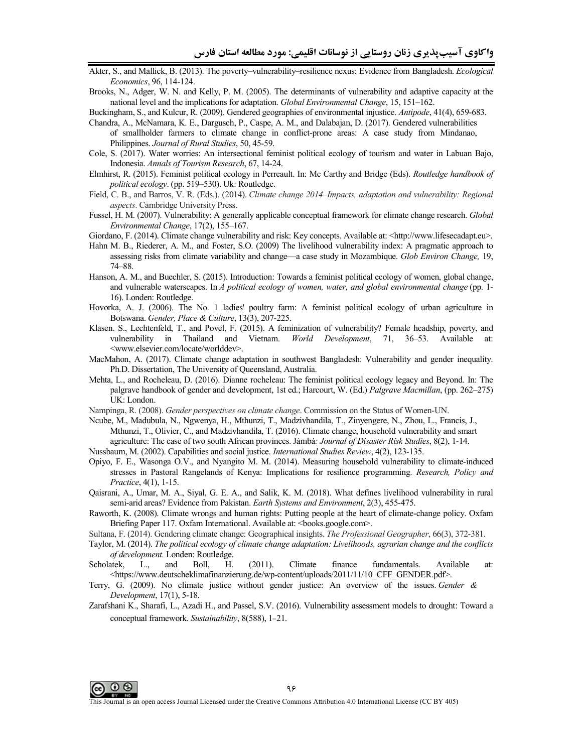- Akter, S., and Mallick, B. (2013). The poverty–vulnerability–resilience nexus: Evidence from Bangladesh. *Ecological Economics*, 96, 114-124.
- Brooks, N., Adger, W. N. and Kelly, P. M. (2005). The determinants of vulnerability and adaptive capacity at the national level and the implications for adaptation. *Global Environmental Change*, 15, 151–162.
- Buckingham, S., and Kulcur, R. (2009). Gendered geographies of environmental injustice. *Antipode*, 41(4), 659-683.
- Chandra, A., McNamara, K. E., Dargusch, P., Caspe, A. M., and Dalabajan, D. (2017). Gendered vulnerabilities of smallholder farmers to climate change in conflict-prone areas: A case study from Mindanao, Philippines. *Journal of Rural Studies*, 50, 45-59.
- Cole, S. (2017). Water worries: An intersectional feminist political ecology of tourism and water in Labuan Bajo, Indonesia. *Annals of Tourism Research*, 67, 14-24.
- Elmhirst, R. (2015). Feminist political ecology in Perreault. In: Mc Carthy and Bridge (Eds). *Routledge handbook of political ecology*. (pp. 519–530). Uk: Routledge.
- Field, C. B., and Barros, V. R. (Eds.). (2014). *Climate change 2014–Impacts, adaptation and vulnerability: Regional aspects*. Cambridge University Press.
- Fussel, H. M. (2007). Vulnerability: A generally applicable conceptual framework for climate change research. *Global Environmental Change*, 17(2), 155–167.
- Giordano, F. (2014). Climate change vulnerability and risk: Key concepts. Available at: <http://www.lifesecadapt.eu>.
- Hahn M. B., Riederer, A. M., and Foster, S.O. (2009) The livelihood vulnerability index: A pragmatic approach to assessing risks from climate variability and change—a case study in Mozambique. *Glob Environ Change,* 19, 74–88.
- Hanson, A. M., and Buechler, S. (2015). Introduction: Towards a feminist political ecology of women, global change, and vulnerable waterscapes. In *A political ecology of women, water, and global environmental change* (pp. 1- 16). Londen: Routledge.
- Hovorka, A. J. (2006). The No. 1 ladies' poultry farm: A feminist political ecology of urban agriculture in Botswana. *Gender, Place & Culture*, 13(3), 207-225.
- Klasen. S., Lechtenfeld, T., and Povel, F. (2015). A feminization of vulnerability? Female headship, poverty, and vulnerability in Thailand and Vietnam. *World Development*, 71, 36–53. Available at: <www.elsevier.com/locate/worlddev>.
- MacMahon, A. (2017). Climate change adaptation in southwest Bangladesh: Vulnerability and gender inequality. Ph.D. Dissertation, The University of Queensland, Australia.
- Mehta, L., and Rocheleau, D. (2016). Dianne rocheleau: The feminist political ecology legacy and Beyond. In: The palgrave handbook of gender and development, 1st ed.; Harcourt, W. (Ed.) *Palgrave Macmillan*, (pp. 262–275) UK: London.
- Nampinga, R. (2008). *Gender perspectives on climate change*. Commission on the Status of Women-UN.
- Ncube, M., Madubula, N., Ngwenya, H., Mthunzi, T., Madzivhandila, T., Zinyengere, N., Zhou, L., Francis, J., Mthunzi, T., Olivier, C., and Madzivhandila, T. (2016). Climate change, household vulnerability and smart agriculture: The case of two south African provinces. Jàmbá*: Journal of Disaster Risk Studies*, 8(2), 1-14.
- Nussbaum, M. (2002). Capabilities and social justice. *International Studies Review*, 4(2), 123-135.
- Opiyo, F. E., Wasonga O.V., and Nyangito M. M. (2014). Measuring household vulnerability to climate-induced stresses in Pastoral Rangelands of Kenya: Implications for resilience programming. *Research, Policy and Practice*, 4(1), 1-15.
- Qaisrani, A., Umar, M. A., Siyal, G. E. A., and Salik, K. M. (2018). What defines livelihood vulnerability in rural semi-arid areas? Evidence from Pakistan. *Earth Systems and Environment*, 2(3), 455-475.
- Raworth, K. (2008). Climate wrongs and human rights: Putting people at the heart of climate-change policy. Oxfam Briefing Paper 117. Oxfam International. Available at: <br/>books.google.com>.
- Sultana, F. (2014). Gendering climate change: Geographical insights. *The Professional Geographer*, 66(3), 372-381.
- Taylor, M. (2014). *The political ecology of climate change adaptation: Livelihoods, agrarian change and the conflicts of development.* Londen: Routledge.
- Scholatek, L., and Boll, H. (2011). Climate finance fundamentals. Available at: <https://www.deutscheklimafinanzierung.de/wp-content/uploads/2011/11/10\_CFF\_GENDER.pdf>.
- Terry, G. (2009). No climate justice without gender justice: An overview of the issues. *Gender & Development*, 17(1), 5-18.
- Zarafshani K., Sharafi, L., Azadi H., and Passel, S.V. (2016). Vulnerability assessment models to drought: Toward a conceptual framework. *Sustainability*, 8(588), 1-21.